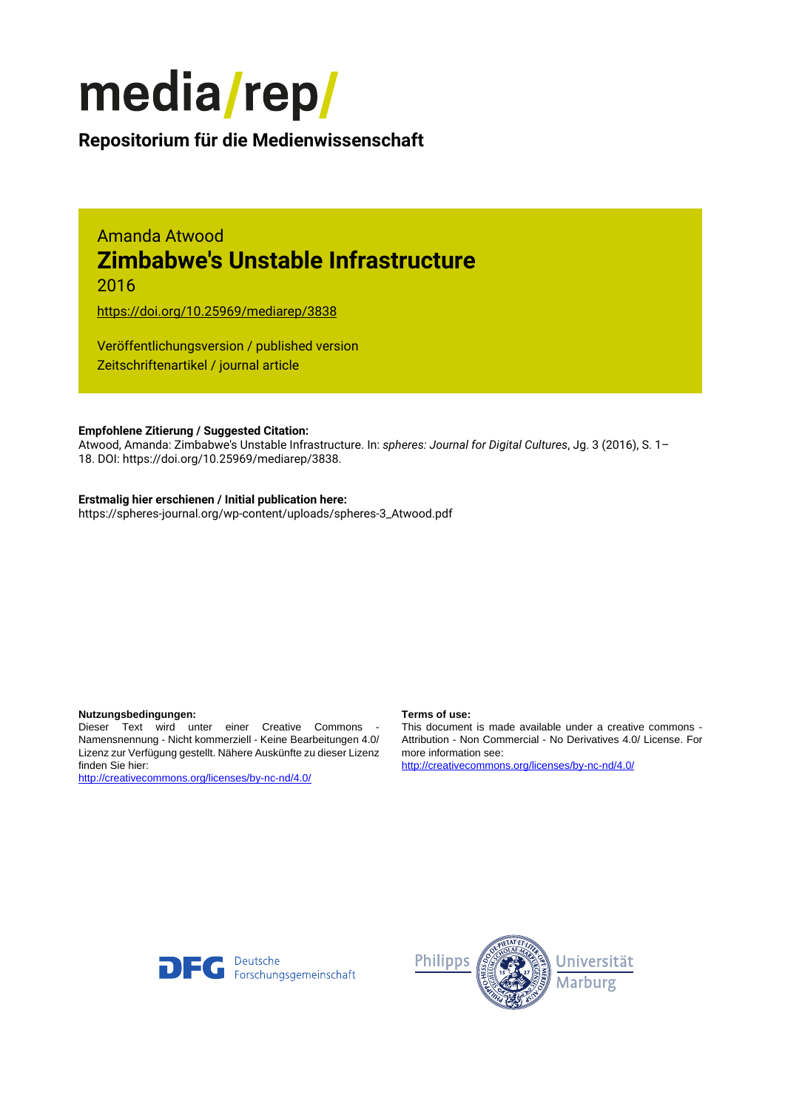

# **Repositorium für die [Medienwissenschaft](https://mediarep.org)**

# Amanda Atwood **Zimbabwe's Unstable Infrastructure**

2016

<https://doi.org/10.25969/mediarep/3838>

Veröffentlichungsversion / published version Zeitschriftenartikel / journal article

#### **Empfohlene Zitierung / Suggested Citation:**

Atwood, Amanda: Zimbabwe's Unstable Infrastructure. In: *spheres: Journal for Digital Cultures*, Jg. 3 (2016), S. 1– 18. DOI: https://doi.org/10.25969/mediarep/3838.

#### **Erstmalig hier erschienen / Initial publication here:**

https://spheres-journal.org/wp-content/uploads/spheres-3\_Atwood.pdf

#### **Nutzungsbedingungen: Terms of use:**

Dieser Text wird unter einer Creative Commons - Namensnennung - Nicht kommerziell - Keine Bearbeitungen 4.0/ Lizenz zur Verfügung gestellt. Nähere Auskünfte zu dieser Lizenz finden Sie hier:

<http://creativecommons.org/licenses/by-nc-nd/4.0/>

This document is made available under a creative commons - Attribution - Non Commercial - No Derivatives 4.0/ License. For more information see:

<http://creativecommons.org/licenses/by-nc-nd/4.0/>



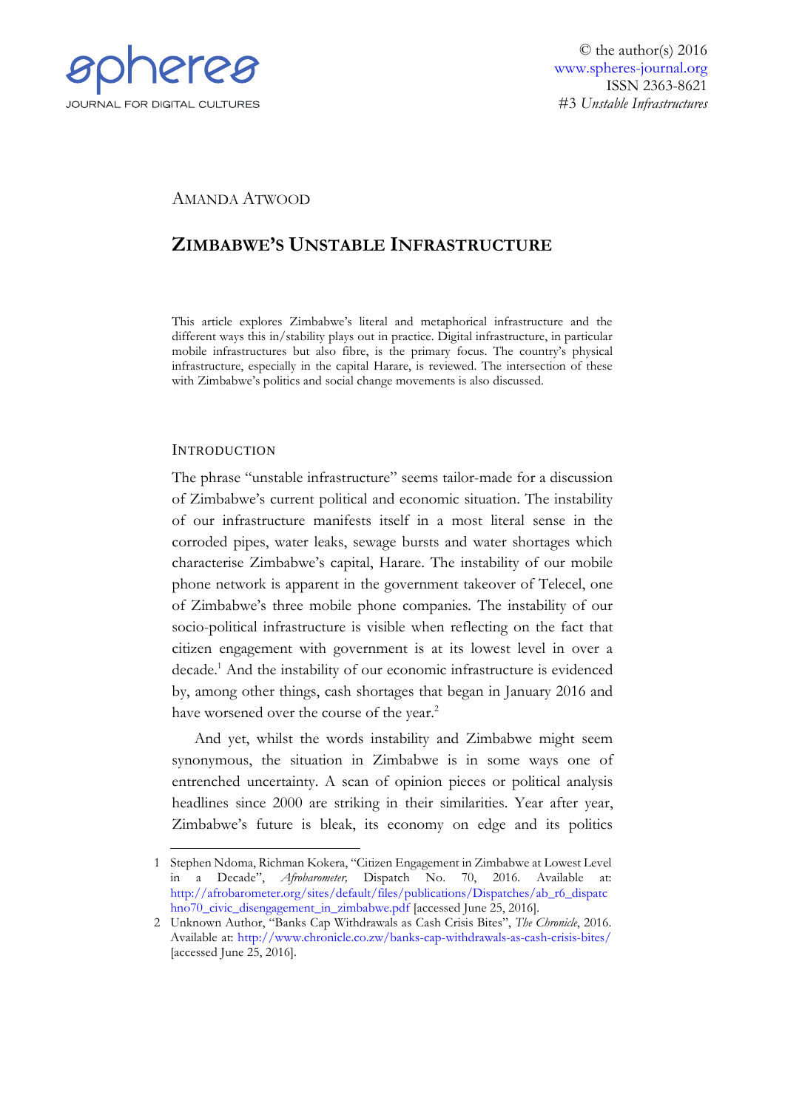

## AMANDA ATWOOD

# **ZIMBABWE'S UNSTABLE INFRASTRUCTURE**

This article explores Zimbabwe's literal and metaphorical infrastructure and the different ways this in/stability plays out in practice. Digital infrastructure, in particular mobile infrastructures but also fibre, is the primary focus. The country's physical infrastructure, especially in the capital Harare, is reviewed. The intersection of these with Zimbabwe's politics and social change movements is also discussed.

### **INTRODUCTION**

The phrase "unstable infrastructure" seems tailor-made for a discussion of Zimbabwe's current political and economic situation. The instability of our infrastructure manifests itself in a most literal sense in the corroded pipes, water leaks, sewage bursts and water shortages which characterise Zimbabwe's capital, Harare. The instability of our mobile phone network is apparent in the government takeover of Telecel, one of Zimbabwe's three mobile phone companies. The instability of our socio-political infrastructure is visible when reflecting on the fact that citizen engagement with government is at its lowest level in over a decade. <sup>1</sup> And the instability of our economic infrastructure is evidenced by, among other things, cash shortages that began in January 2016 and have worsened over the course of the year.<sup>2</sup>

And yet, whilst the words instability and Zimbabwe might seem synonymous, the situation in Zimbabwe is in some ways one of entrenched uncertainty. A scan of opinion pieces or political analysis headlines since 2000 are striking in their similarities. Year after year, Zimbabwe's future is bleak, its economy on edge and its politics

<sup>&</sup>lt;u>.</u> 1 Stephen Ndoma, Richman Kokera, "Citizen Engagement in Zimbabwe at Lowest Level in a Decade", *Afrobarometer,* Dispatch No. 70, 2016*.* Available at: [http://afrobarometer.org/sites/default/files/publications/Dispatches/ab\\_r6\\_dispatc](http://afrobarometer.org/sites/default/files/publications/Dispatches/ab_r6_dispatchno70_civic_disengagement_in_zimbabwe.pdf) [hno70\\_civic\\_disengagement\\_in\\_zimbabwe.pdf](http://afrobarometer.org/sites/default/files/publications/Dispatches/ab_r6_dispatchno70_civic_disengagement_in_zimbabwe.pdf) [accessed June 25, 2016].

<sup>2</sup> Unknown Author, "Banks Cap Withdrawals as Cash Crisis Bites", *The Chronicle*, 2016. Available at:<http://www.chronicle.co.zw/banks-cap-withdrawals-as-cash-crisis-bites/> [accessed June 25, 2016].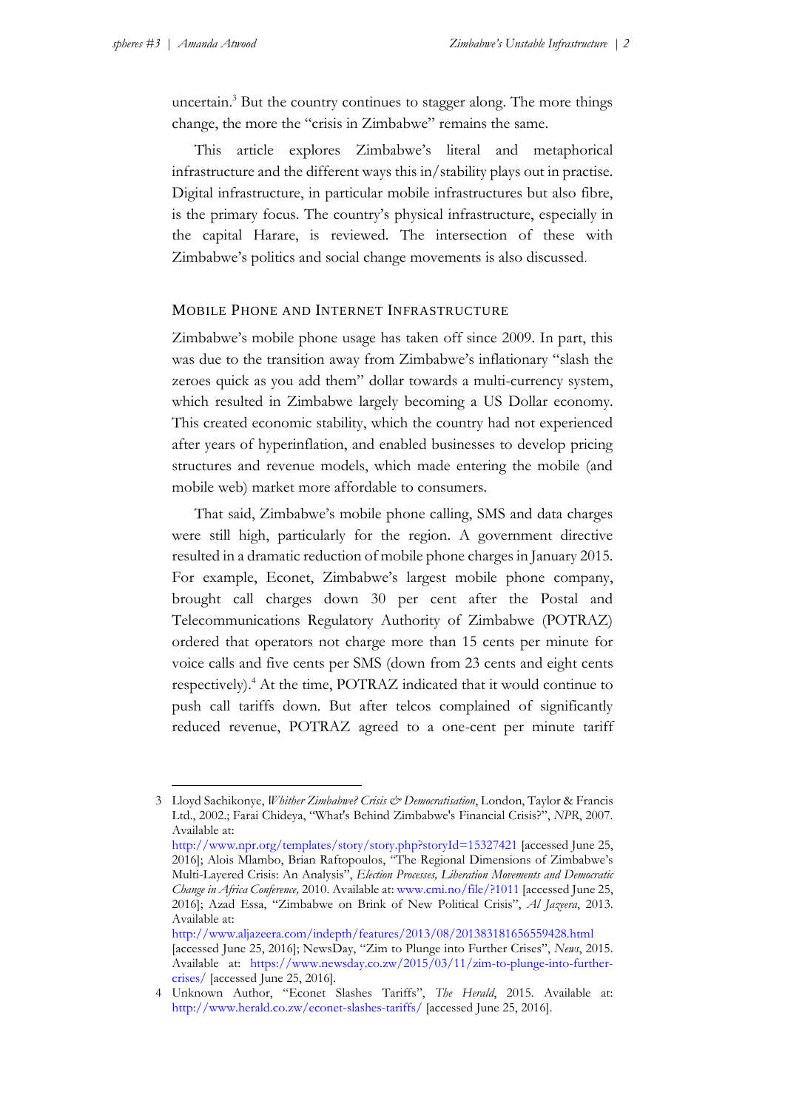uncertain.<sup>3</sup> But the country continues to stagger along. The more things change, the more the "crisis in Zimbabwe" remains the same.

This article explores Zimbabwe's literal and metaphorical infrastructure and the different ways this in/stability plays out in practise. Digital infrastructure, in particular mobile infrastructures but also fibre, is the primary focus. The country's physical infrastructure, especially in the capital Harare, is reviewed. The intersection of these with Zimbabwe's politics and social change movements is also discussed.

#### MOBILE PHONE AND INTERNET INFRASTRUCTURE

Zimbabwe's mobile phone usage has taken off since 2009. In part, this was due to the transition away from Zimbabwe's inflationary "slash the zeroes quick as you add them" dollar towards a multi-currency system, which resulted in Zimbabwe largely becoming a US Dollar economy. This created economic stability, which the country had not experienced after years of hyperinflation, and enabled businesses to develop pricing structures and revenue models, which made entering the mobile (and mobile web) market more affordable to consumers.

That said, Zimbabwe's mobile phone calling, SMS and data charges were still high, particularly for the region. A government directive resulted in a dramatic reduction of mobile phone charges in January 2015. For example, Econet, Zimbabwe's largest mobile phone company, brought call charges down 30 per cent after the Postal and Telecommunications Regulatory Authority of Zimbabwe (POTRAZ) ordered that operators not charge more than 15 cents per minute for voice calls and five cents per SMS (down from 23 cents and eight cents respectively). <sup>4</sup> At the time, POTRAZ indicated that it would continue to push call tariffs down. But after telcos complained of significantly reduced revenue, POTRAZ agreed to a one-cent per minute tariff

<http://www.aljazeera.com/indepth/features/2013/08/201383181656559428.html> [accessed June 25, 2016]; NewsDay, "Zim to Plunge into Further Crises", *News*, 2015. Available at: [https://www.newsday.co.zw/2015/03/11/zim-to-plunge-into-further](https://www.newsday.co.zw/2015/03/11/zim-to-plunge-into-further-crises/)[crises/](https://www.newsday.co.zw/2015/03/11/zim-to-plunge-into-further-crises/) [accessed June 25, 2016].

<sup>3</sup> Lloyd Sachikonye, *Whither Zimbabwe? Crisis & Democratisation*, London, Taylor & Francis Ltd., 2002.; Farai Chideya, "What's Behind Zimbabwe's Financial Crisis?", *NPR*, 2007. Available at:

<http://www.npr.org/templates/story/story.php?storyId=15327421> [accessed June 25, 2016]; Alois Mlambo, Brian Raftopoulos, "The Regional Dimensions of Zimbabwe's Multi-Layered Crisis: An Analysis", *Election Processes, Liberation Movements and Democratic Change in Africa Conference,* 2010. Available at: [www.cmi.no/file/?1011](http://www.cmi.no/file/?1011) [accessed June 25, 2016]; Azad Essa, "Zimbabwe on Brink of New Political Crisis", *Al Jazeera*, 2013. Available at:

<sup>4</sup> Unknown Author, "Econet Slashes Tariffs", *The Herald*, 2015. Available at: <http://www.herald.co.zw/econet-slashes-tariffs/> [accessed June 25, 2016].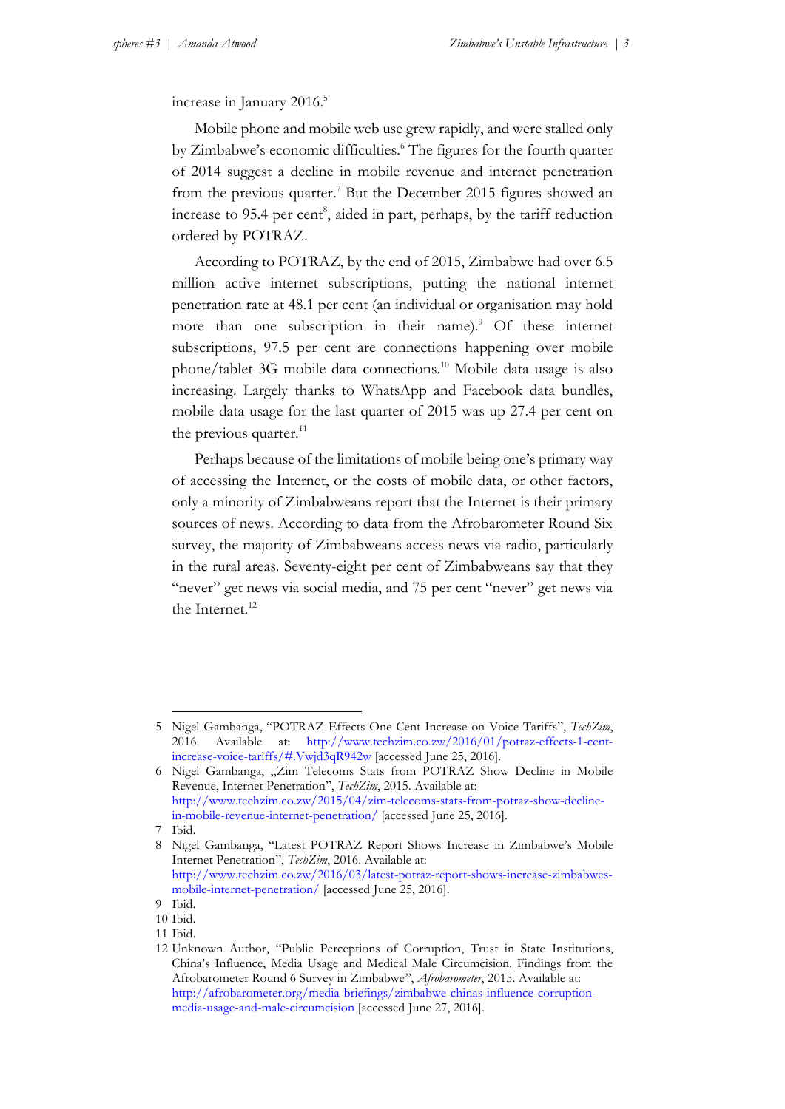increase in January 2016.<sup>5</sup>

Mobile phone and mobile web use grew rapidly, and were stalled only by Zimbabwe's economic difficulties. <sup>6</sup> The figures for the fourth quarter of 2014 suggest a decline in mobile revenue and internet penetration from the previous quarter. <sup>7</sup> But the December 2015 figures showed an increase to 95.4 per cent<sup>8</sup>, aided in part, perhaps, by the tariff reduction ordered by POTRAZ.

According to POTRAZ, by the end of 2015, Zimbabwe had over 6.5 million active internet subscriptions, putting the national internet penetration rate at 48.1 per cent (an individual or organisation may hold more than one subscription in their name).<sup>9</sup> Of these internet subscriptions, 97.5 per cent are connections happening over mobile phone/tablet 3G mobile data connections.<sup>10</sup> Mobile data usage is also increasing. Largely thanks to WhatsApp and Facebook data bundles, mobile data usage for the last quarter of 2015 was up 27.4 per cent on the previous quarter. $^{11}$ 

Perhaps because of the limitations of mobile being one's primary way of accessing the Internet, or the costs of mobile data, or other factors, only a minority of Zimbabweans report that the Internet is their primary sources of news. According to data from the Afrobarometer Round Six survey, the majority of Zimbabweans access news via radio, particularly in the rural areas. Seventy-eight per cent of Zimbabweans say that they "never" get news via social media, and 75 per cent "never" get news via the Internet. 12

-

<sup>5</sup> Nigel Gambanga, "POTRAZ Effects One Cent Increase on Voice Tariffs", *TechZim*, 2016. Available at: [http://www.techzim.co.zw/2016/01/potraz-effects-1-cent](http://www.techzim.co.zw/2016/01/potraz-effects-1-cent-increase-voice-tariffs/#.Vwjd3qR942w)[increase-voice-tariffs/#.Vwjd3qR942w](http://www.techzim.co.zw/2016/01/potraz-effects-1-cent-increase-voice-tariffs/#.Vwjd3qR942w) [accessed June 25, 2016].

<sup>6</sup> Nigel Gambanga, "Zim Telecoms Stats from POTRAZ Show Decline in Mobile Revenue, Internet Penetration", *TechZim*, 2015. Available at: [http://www.techzim.co.zw/2015/04/zim-telecoms-stats-from-potraz-show-decline](http://www.techzim.co.zw/2015/04/zim-telecoms-stats-from-potraz-show-decline-in-mobile-revenue-internet-penetration/)[in-mobile-revenue-internet-penetration/](http://www.techzim.co.zw/2015/04/zim-telecoms-stats-from-potraz-show-decline-in-mobile-revenue-internet-penetration/) [accessed June 25, 2016].

<sup>7</sup> Ibid.

<sup>8</sup> Nigel Gambanga, "Latest POTRAZ Report Shows Increase in Zimbabwe's Mobile Internet Penetration", *TechZim*, 2016. Available at: [http://www.techzim.co.zw/2016/03/latest-potraz-report-shows-increase-zimbabwes](http://www.techzim.co.zw/2016/03/latest-potraz-report-shows-increase-zimbabwes-mobile-internet-penetration/)[mobile-internet-penetration/](http://www.techzim.co.zw/2016/03/latest-potraz-report-shows-increase-zimbabwes-mobile-internet-penetration/) [accessed June 25, 2016].

<sup>9</sup> Ibid.

<sup>10</sup> Ibid.

<sup>11</sup> Ibid.

<sup>12</sup> Unknown Author, "Public Perceptions of Corruption, Trust in State Institutions, China's Influence, Media Usage and Medical Male Circumcision. Findings from the Afrobarometer Round 6 Survey in Zimbabwe", *Afrobarometer*, 2015. Available at: [http://afrobarometer.org/media-briefings/zimbabwe-chinas-influence-corruption](http://afrobarometer.org/media-briefings/zimbabwe-chinas-influence-corruption-media-usage-and-male-circumcision)[media-usage-and-male-circumcision](http://afrobarometer.org/media-briefings/zimbabwe-chinas-influence-corruption-media-usage-and-male-circumcision) [accessed June 27, 2016].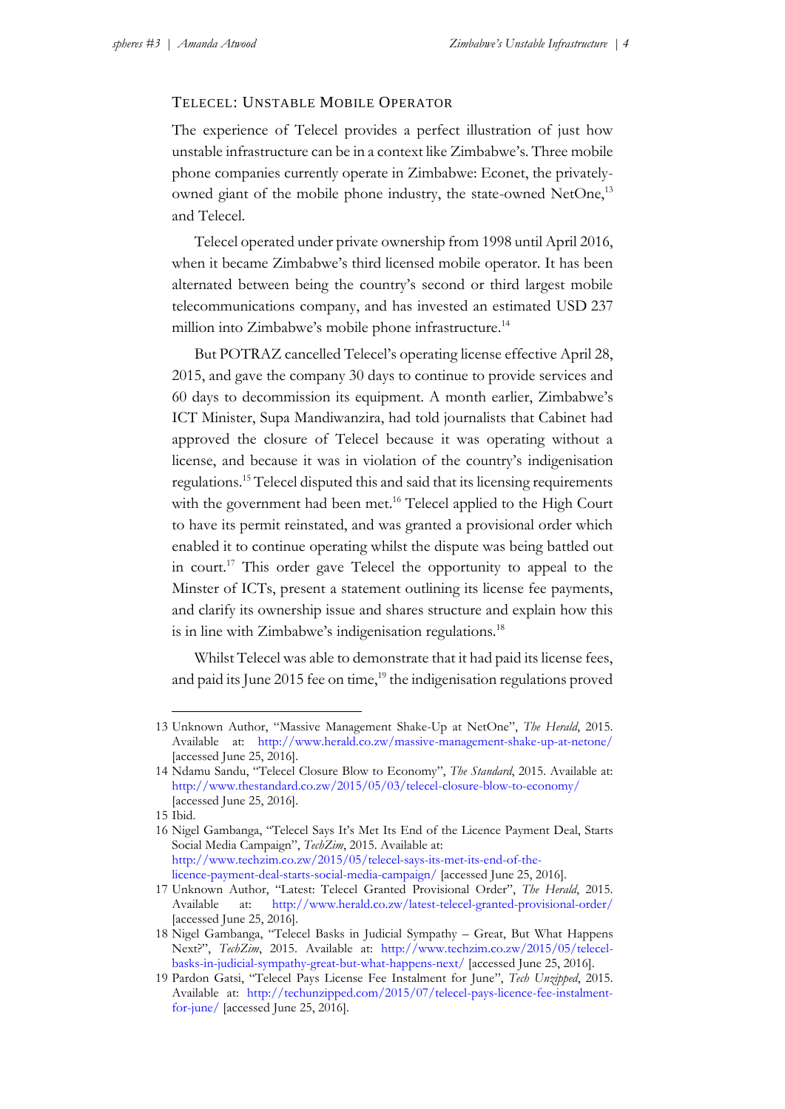#### TELECEL: UNSTABLE MOBILE OPERATOR

The experience of Telecel provides a perfect illustration of just how unstable infrastructure can be in a context like Zimbabwe's. Three mobile phone companies currently operate in Zimbabwe: Econet, the privatelyowned giant of the mobile phone industry, the state-owned NetOne,<sup>13</sup> and Telecel.

Telecel operated under private ownership from 1998 until April 2016, when it became Zimbabwe's third licensed mobile operator. It has been alternated between being the country's second or third largest mobile telecommunications company, and has invested an estimated USD 237 million into Zimbabwe's mobile phone infrastructure. 14

But POTRAZ cancelled Telecel's operating license effective April 28, 2015, and gave the company 30 days to continue to provide services and 60 days to decommission its equipment. A month earlier, Zimbabwe's ICT Minister, Supa Mandiwanzira, had told journalists that Cabinet had approved the closure of Telecel because it was operating without a license, and because it was in violation of the country's indigenisation regulations. <sup>15</sup> Telecel disputed this and said that its licensing requirements with the government had been met. <sup>16</sup> Telecel applied to the High Court to have its permit reinstated, and was granted a provisional order which enabled it to continue operating whilst the dispute was being battled out in court.<sup>17</sup> This order gave Telecel the opportunity to appeal to the Minster of ICTs, present a statement outlining its license fee payments, and clarify its ownership issue and shares structure and explain how this is in line with Zimbabwe's indigenisation regulations.<sup>18</sup>

Whilst Telecel was able to demonstrate that it had paid its license fees, and paid its June 2015 fee on time,<sup>19</sup> the indigenisation regulations proved

-

<sup>13</sup> Unknown Author, "Massive Management Shake-Up at NetOne", *The Herald*, 2015. Available at: <http://www.herald.co.zw/massive-management-shake-up-at-netone/> [accessed June 25, 2016].

<sup>14</sup> Ndamu Sandu, "Telecel Closure Blow to Economy", *The Standard*, 2015. Available at: <http://www.thestandard.co.zw/2015/05/03/telecel-closure-blow-to-economy/> [accessed June 25, 2016].

<sup>15</sup> Ibid.

<sup>16</sup> Nigel Gambanga, "Telecel Says It's Met Its End of the Licence Payment Deal, Starts Social Media Campaign", *TechZim*, 2015. Available at: [http://www.techzim.co.zw/2015/05/telecel-says-its-met-its-end-of-the](http://www.techzim.co.zw/2015/05/telecel-says-its-met-its-end-of-the-licencepayment-deal-starts-social-media-campaign/)[licence-payment-deal-starts-social-media-campaign/](http://www.techzim.co.zw/2015/05/telecel-says-its-met-its-end-of-the-licencepayment-deal-starts-social-media-campaign/) [accessed June 25, 2016].

<sup>17</sup> Unknown Author, "Latest: Telecel Granted Provisional Order", *The Herald*, 2015. Available at: <http://www.herald.co.zw/latest-telecel-granted-provisional-order/> [accessed June 25, 2016].

<sup>18</sup> Nigel Gambanga, "Telecel Basks in Judicial Sympathy – Great, But What Happens Next?", *TechZim*, 2015. Available at: [http://www.techzim.co.zw/2015/05/telecel](http://www.techzim.co.zw/2015/05/telecel-basks-in-judicial-sympathy-great-but-what-happens-next/)[basks-in-judicial-sympathy-great-but-what-happens-next/](http://www.techzim.co.zw/2015/05/telecel-basks-in-judicial-sympathy-great-but-what-happens-next/) [accessed June 25, 2016].

<sup>19</sup> Pardon Gatsi, "Telecel Pays License Fee Instalment for June", *Tech Unzipped*, 2015. Available at: [http://techunzipped.com/2015/07/telecel-pays-licence-fee-instalment](http://techunzipped.com/2015/07/telecel-pays-licence-fee-instalment-for-june/)[for-june/](http://techunzipped.com/2015/07/telecel-pays-licence-fee-instalment-for-june/) [accessed June 25, 2016].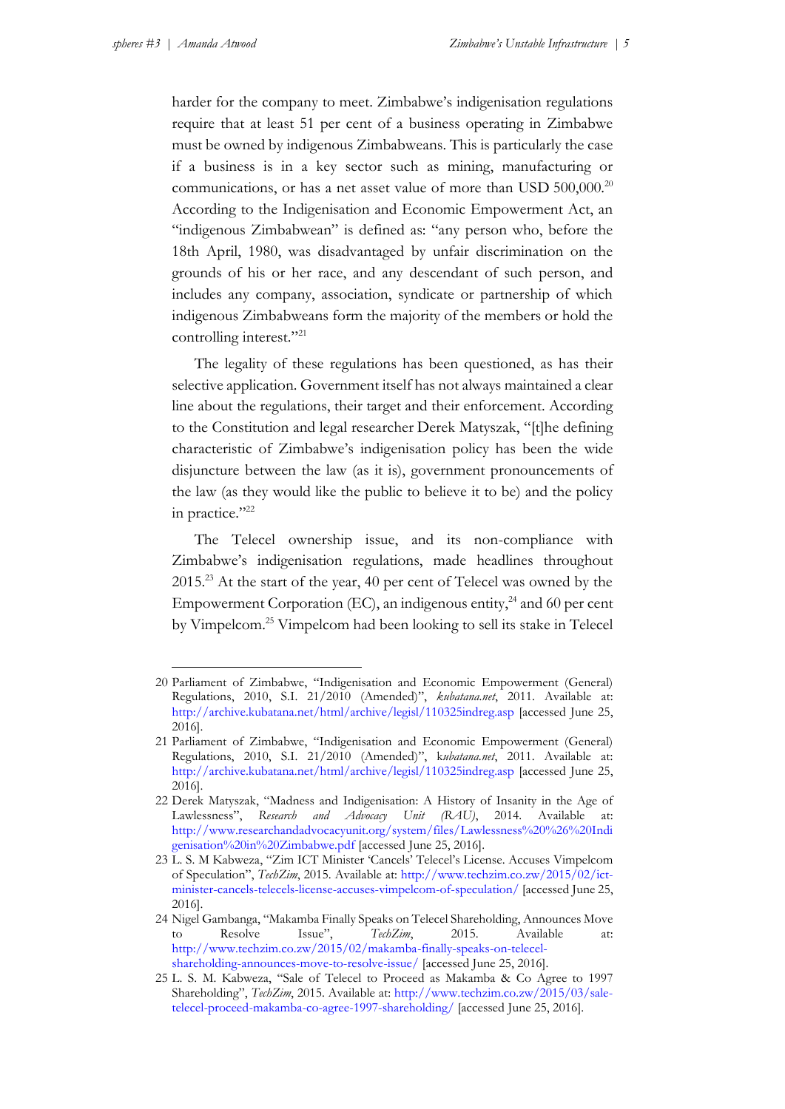-

harder for the company to meet. Zimbabwe's indigenisation regulations require that at least 51 per cent of a business operating in Zimbabwe must be owned by indigenous Zimbabweans. This is particularly the case if a business is in a key sector such as mining, manufacturing or communications, or has a net asset value of more than USD 500,000.<sup>20</sup> According to the Indigenisation and Economic Empowerment Act, an "indigenous Zimbabwean" is defined as: "any person who, before the 18th April, 1980, was disadvantaged by unfair discrimination on the grounds of his or her race, and any descendant of such person, and includes any company, association, syndicate or partnership of which indigenous Zimbabweans form the majority of the members or hold the controlling interest."<sup>21</sup>

The legality of these regulations has been questioned, as has their selective application. Government itself has not always maintained a clear line about the regulations, their target and their enforcement. According to the Constitution and legal researcher Derek Matyszak, "[t]he defining characteristic of Zimbabwe's indigenisation policy has been the wide disjuncture between the law (as it is), government pronouncements of the law (as they would like the public to believe it to be) and the policy in practice."<sup>22</sup>

The Telecel ownership issue, and its non-compliance with Zimbabwe's indigenisation regulations, made headlines throughout 2015.<sup>23</sup> At the start of the year, 40 per cent of Telecel was owned by the Empowerment Corporation (EC), an indigenous entity, <sup>24</sup> and 60 per cent by Vimpelcom. <sup>25</sup> Vimpelcom had been looking to sell its stake in Telecel

<sup>20</sup> Parliament of Zimbabwe, "Indigenisation and Economic Empowerment (General) Regulations, 2010, S.I. 21/2010 (Amended)", *kubatana.net*, 2011. Available at: <http://archive.kubatana.net/html/archive/legisl/110325indreg.asp> [accessed June 25, 2016].

<sup>21</sup> Parliament of Zimbabwe, "Indigenisation and Economic Empowerment (General) Regulations, 2010, S.I. 21/2010 (Amended)", k*ubatana.net*, 2011. Available at: <http://archive.kubatana.net/html/archive/legisl/110325indreg.asp> [accessed June 25, 2016].

<sup>22</sup> Derek Matyszak, "Madness and Indigenisation: A History of Insanity in the Age of Lawlessness", *Research and Advocacy Unit (RAU)*, 2014. Available at: [http://www.researchandadvocacyunit.org/system/files/Lawlessness%20%26%20Indi](http://www.researchandadvocacyunit.org/system/files/Lawlessness%20%26%20Indigenisation%20in%20Zimbabwe.pdf) [genisation%20in%20Zimbabwe.pdf](http://www.researchandadvocacyunit.org/system/files/Lawlessness%20%26%20Indigenisation%20in%20Zimbabwe.pdf) [accessed June 25, 2016].

<sup>23</sup> L. S. M Kabweza, "Zim ICT Minister 'Cancels' Telecel's License. Accuses Vimpelcom of Speculation", *TechZim*, 2015. Available at: [http://www.techzim.co.zw/2015/02/ict](http://www.techzim.co.zw/2015/02/ict-minister-cancels-telecels-license-accuses-vimpelcom-of-speculation/)[minister-cancels-telecels-license-accuses-vimpelcom-of-speculation/](http://www.techzim.co.zw/2015/02/ict-minister-cancels-telecels-license-accuses-vimpelcom-of-speculation/) [accessed June 25, 2016].

<sup>24</sup> Nigel Gambanga, "Makamba Finally Speaks on Telecel Shareholding, Announces Move to Resolve Issue", *TechZim*, 2015. Available at: [http://www.techzim.co.zw/2015/02/makamba-finally-speaks-on-telecel](http://www.techzim.co.zw/2015/02/makamba-finally-speaks-on-telecel-shareholding-announces-move-to-resolve-issue/)[shareholding-announces-move-to-resolve-issue/](http://www.techzim.co.zw/2015/02/makamba-finally-speaks-on-telecel-shareholding-announces-move-to-resolve-issue/) [accessed June 25, 2016].

<sup>25</sup> L. S. M. Kabweza, "Sale of Telecel to Proceed as Makamba & Co Agree to 1997 Shareholding", *TechZim*, 2015. Available at: [http://www.techzim.co.zw/2015/03/sale](http://www.techzim.co.zw/2015/03/sale-telecel-proceed-makamba-co-agree-1997-shareholding/)[telecel-proceed-makamba-co-agree-1997-shareholding/](http://www.techzim.co.zw/2015/03/sale-telecel-proceed-makamba-co-agree-1997-shareholding/) [accessed June 25, 2016].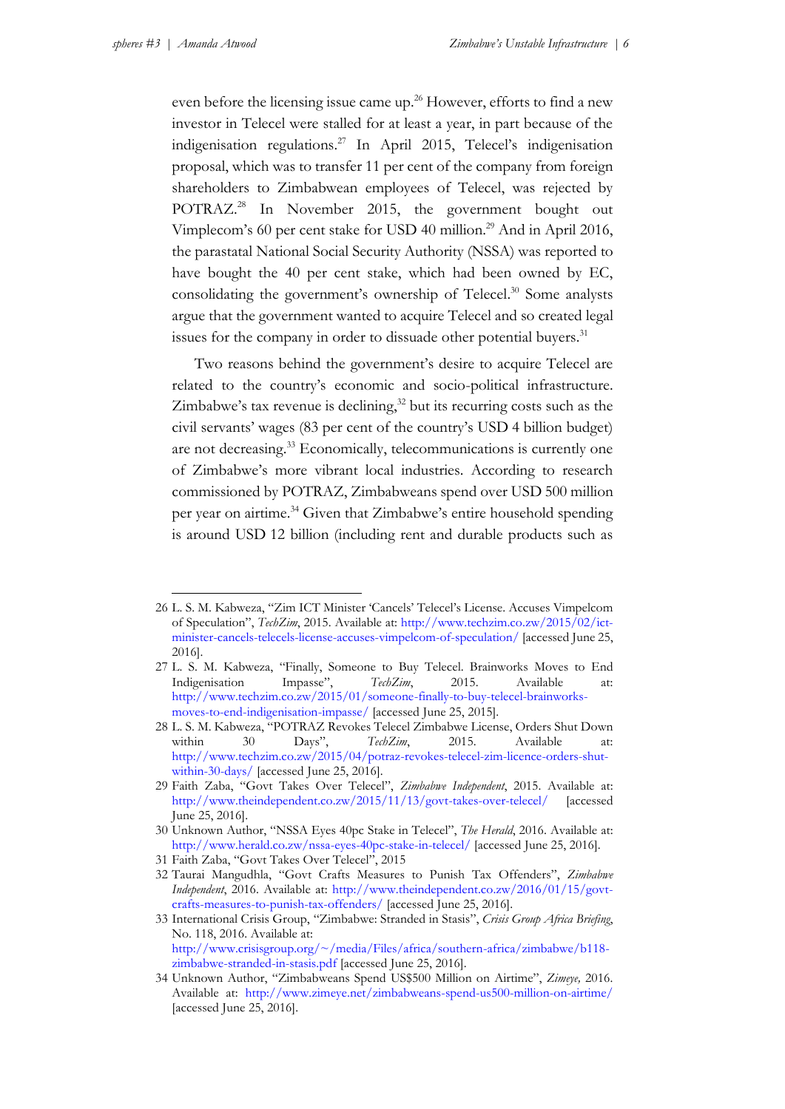-

even before the licensing issue came up. <sup>26</sup> However, efforts to find a new investor in Telecel were stalled for at least a year, in part because of the indigenisation regulations. <sup>27</sup> In April 2015, Telecel's indigenisation proposal, which was to transfer 11 per cent of the company from foreign shareholders to Zimbabwean employees of Telecel, was rejected by POTRAZ. <sup>28</sup> In November 2015, the government bought out Vimplecom's 60 per cent stake for USD 40 million.<sup>29</sup> And in April 2016, the parastatal National Social Security Authority (NSSA) was reported to have bought the 40 per cent stake, which had been owned by EC, consolidating the government's ownership of Telecel. <sup>30</sup> Some analysts argue that the government wanted to acquire Telecel and so created legal issues for the company in order to dissuade other potential buyers.<sup>31</sup>

Two reasons behind the government's desire to acquire Telecel are related to the country's economic and socio-political infrastructure. Zimbabwe's tax revenue is declining, <sup>32</sup> but its recurring costs such as the civil servants' wages (83 per cent of the country's USD 4 billion budget) are not decreasing. <sup>33</sup> Economically, telecommunications is currently one of Zimbabwe's more vibrant local industries. According to research commissioned by POTRAZ, Zimbabweans spend over USD 500 million per year on airtime.<sup>34</sup> Given that Zimbabwe's entire household spending is around USD 12 billion (including rent and durable products such as

<sup>26</sup> L. S. M. Kabweza, "Zim ICT Minister 'Cancels' Telecel's License. Accuses Vimpelcom of Speculation", *TechZim*, 2015. Available at: [http://www.techzim.co.zw/2015/02/ict](http://www.techzim.co.zw/2015/02/ict-minister-cancels-telecels-license-accuses-vimpelcom-of-speculation/)[minister-cancels-telecels-license-accuses-vimpelcom-of-speculation/](http://www.techzim.co.zw/2015/02/ict-minister-cancels-telecels-license-accuses-vimpelcom-of-speculation/) [accessed June 25, 2016].

<sup>27</sup> L. S. M. Kabweza, "Finally, Someone to Buy Telecel. Brainworks Moves to End Indigenisation Impasse", *TechZim*, 2015. Available at: [http://www.techzim.co.zw/2015/01/someone-finally-to-buy-telecel-brainworks](http://www.techzim.co.zw/2015/01/someone-finally-to-buy-telecel-brainworks-moves-to-end-indigenisation-impasse/)[moves-to-end-indigenisation-impasse/](http://www.techzim.co.zw/2015/01/someone-finally-to-buy-telecel-brainworks-moves-to-end-indigenisation-impasse/) [accessed June 25, 2015].

<sup>28</sup> L. S. M. Kabweza, "POTRAZ Revokes Telecel Zimbabwe License, Orders Shut Down within 30 Days", *TechZim*, 2015. Available at: [http://www.techzim.co.zw/2015/04/potraz-revokes-telecel-zim-licence-orders-shut](http://www.techzim.co.zw/2015/04/potraz-revokes-telecel-zim-licence-orders-shut-within-30-days/)[within-30-days/](http://www.techzim.co.zw/2015/04/potraz-revokes-telecel-zim-licence-orders-shut-within-30-days/) [accessed June 25, 2016].

<sup>29</sup> Faith Zaba, "Govt Takes Over Telecel", *Zimbabwe Independent*, 2015. Available at: <http://www.theindependent.co.zw/2015/11/13/govt-takes-over-telecel/> [accessed June 25, 2016].

<sup>30</sup> Unknown Author, "NSSA Eyes 40pc Stake in Telecel", *The Herald*, 2016. Available at: <http://www.herald.co.zw/nssa-eyes-40pc-stake-in-telecel/> [accessed June 25, 2016].

<sup>31</sup> Faith Zaba, "Govt Takes Over Telecel", 2015

<sup>32</sup> Taurai Mangudhla, "Govt Crafts Measures to Punish Tax Offenders", *Zimbabwe Independent*, 2016. Available at: [http://www.theindependent.co.zw/2016/01/15/govt](http://www.theindependent.co.zw/2016/01/15/govt-crafts-measures-to-punish-tax-offenders/)[crafts-measures-to-punish-tax-offenders/](http://www.theindependent.co.zw/2016/01/15/govt-crafts-measures-to-punish-tax-offenders/) [accessed June 25, 2016].

<sup>33</sup> International Crisis Group, "Zimbabwe: Stranded in Stasis", *Crisis Group Africa Briefing*, No. 118, 2016. Available at: [http://www.crisisgroup.org/~/media/Files/africa/southern-africa/zimbabwe/b118](http://www.crisisgroup.org/~/media/Files/africa/southern-africa/zimbabwe/b118-zimbabwe-stranded-in-stasis.pdf) [zimbabwe-stranded-in-stasis.pdf](http://www.crisisgroup.org/~/media/Files/africa/southern-africa/zimbabwe/b118-zimbabwe-stranded-in-stasis.pdf) [accessed June 25, 2016].

<sup>34</sup> Unknown Author, "Zimbabweans Spend US\$500 Million on Airtime", *Zimeye,* 2016. Available at: <http://www.zimeye.net/zimbabweans-spend-us500-million-on-airtime/> [accessed June 25, 2016].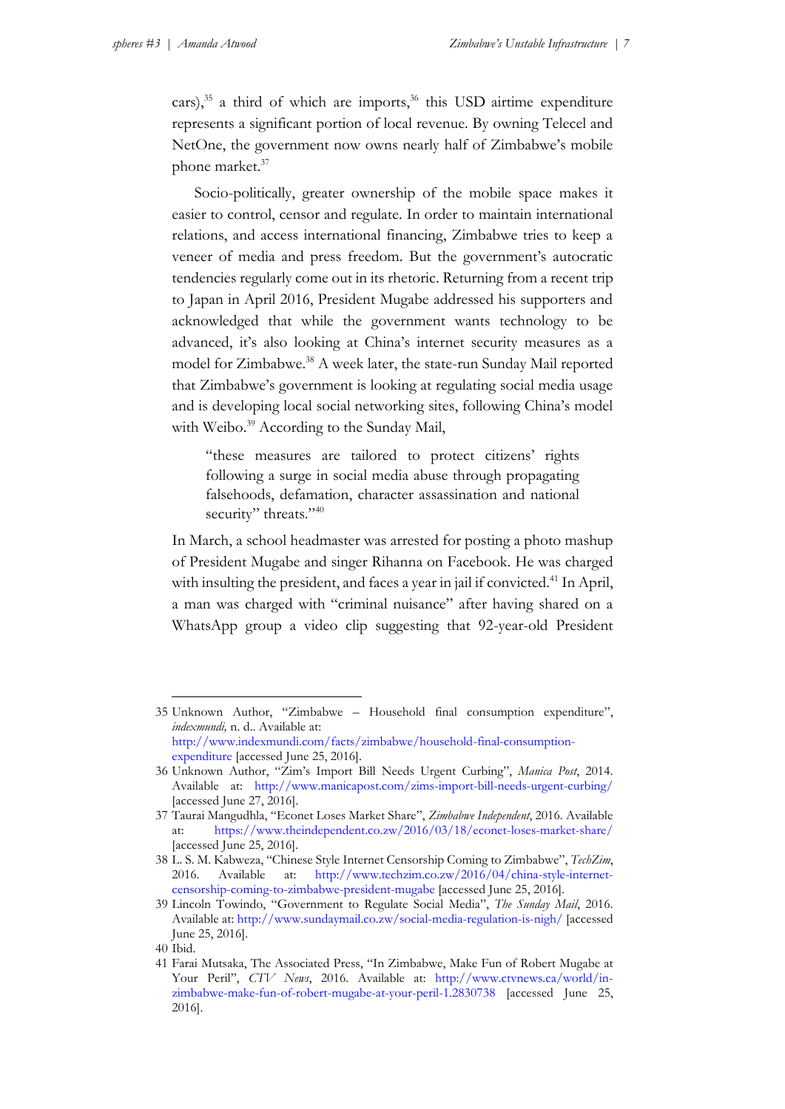cars), $35$  a third of which are imports, $36$  this USD airtime expenditure represents a significant portion of local revenue. By owning Telecel and NetOne, the government now owns nearly half of Zimbabwe's mobile phone market. 37

Socio-politically, greater ownership of the mobile space makes it easier to control, censor and regulate. In order to maintain international relations, and access international financing, Zimbabwe tries to keep a veneer of media and press freedom. But the government's autocratic tendencies regularly come out in its rhetoric. Returning from a recent trip to Japan in April 2016, President Mugabe addressed his supporters and acknowledged that while the government wants technology to be advanced, it's also looking at China's internet security measures as a model for Zimbabwe. <sup>38</sup> A week later, the state-run Sunday Mail reported that Zimbabwe's government is looking at regulating social media usage and is developing local social networking sites, following China's model with Weibo. <sup>39</sup> According to the Sunday Mail,

"these measures are tailored to protect citizens' rights following a surge in social media abuse through propagating falsehoods, defamation, character assassination and national security" threats."40

In March, a school headmaster was arrested for posting a photo mashup of President Mugabe and singer Rihanna on Facebook. He was charged with insulting the president, and faces a year in jail if convicted.<sup>41</sup> In April, a man was charged with "criminal nuisance" after having shared on a WhatsApp group a video clip suggesting that 92-year-old President

<u>.</u>

<sup>35</sup> Unknown Author, "Zimbabwe – Household final consumption expenditure", *indexmundi,* n. d.. Available at: [http://www.indexmundi.com/facts/zimbabwe/household-final-consumption-](http://www.indexmundi.com/facts/zimbabwe/household-final-consumption-expenditure)

[expenditure](http://www.indexmundi.com/facts/zimbabwe/household-final-consumption-expenditure) [accessed June 25, 2016].

<sup>36</sup> Unknown Author, "Zim's Import Bill Needs Urgent Curbing", *Manica Post*, 2014. Available at: <http://www.manicapost.com/zims-import-bill-needs-urgent-curbing/> [accessed June 27, 2016].

<sup>37</sup> Taurai Mangudhla, "Econet Loses Market Share", *Zimbabwe Independent*, 2016. Available at: <https://www.theindependent.co.zw/2016/03/18/econet-loses-market-share/> [accessed June 25, 2016].

<sup>38</sup> L. S. M. Kabweza, "Chinese Style Internet Censorship Coming to Zimbabwe", *TechZim*, 2016. Available at: [http://www.techzim.co.zw/2016/04/china-style-internet](http://www.techzim.co.zw/2016/04/china-style-internet-censorship-coming-to-zimbabwe-president-mugabe)[censorship-coming-to-zimbabwe-president-mugabe](http://www.techzim.co.zw/2016/04/china-style-internet-censorship-coming-to-zimbabwe-president-mugabe) [accessed June 25, 2016].

<sup>39</sup> Lincoln Towindo, "Government to Regulate Social Media", *The Sunday Mail*, 2016. Available at:<http://www.sundaymail.co.zw/social-media-regulation-is-nigh/> [accessed June 25, 2016].

<sup>40</sup> Ibid.

<sup>41</sup> Farai Mutsaka, The Associated Press, "In Zimbabwe, Make Fun of Robert Mugabe at Your Peril", *CTV News*, 2016. Available at: [http://www.ctvnews.ca/world/in](http://www.ctvnews.ca/world/in-zimbabwe-make-fun-of-robert-mugabe-at-your-peril-1.2830738)[zimbabwe-make-fun-of-robert-mugabe-at-your-peril-1.2830738](http://www.ctvnews.ca/world/in-zimbabwe-make-fun-of-robert-mugabe-at-your-peril-1.2830738) [accessed June 25, 2016].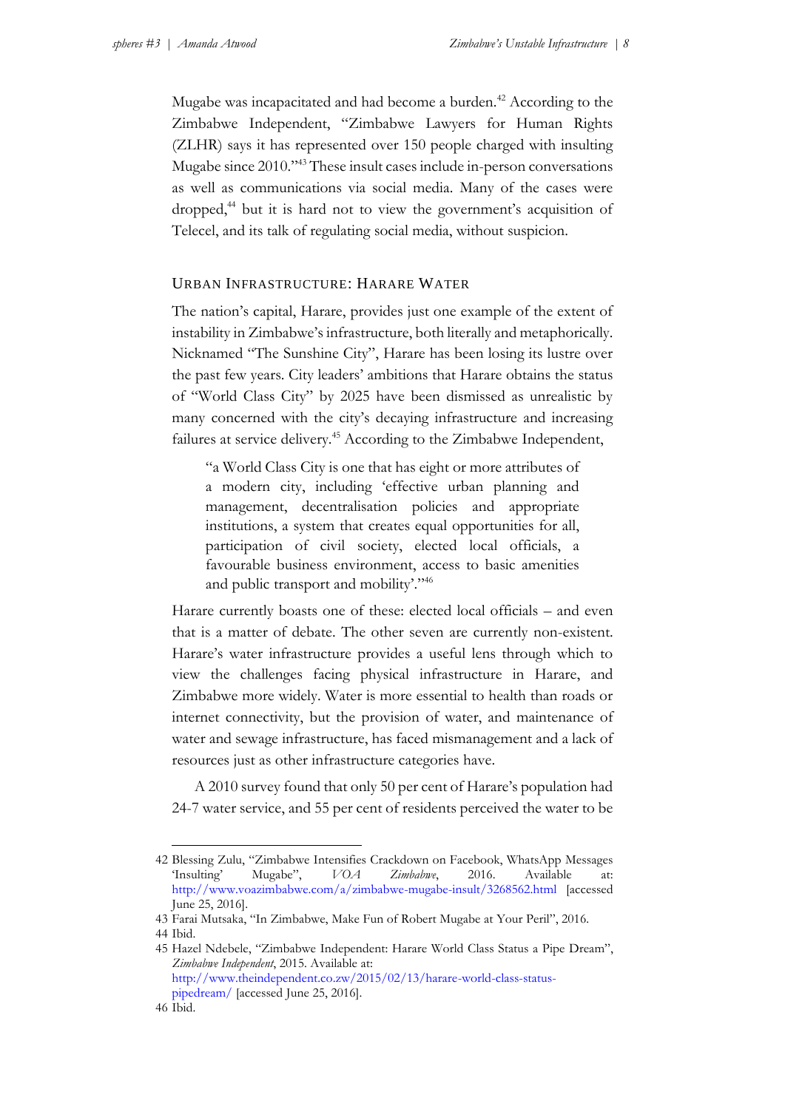Mugabe was incapacitated and had become a burden.<sup>42</sup> According to the Zimbabwe Independent, "Zimbabwe Lawyers for Human Rights (ZLHR) says it has represented over 150 people charged with insulting Mugabe since 2010."<sup>43</sup> These insult cases include in-person conversations as well as communications via social media. Many of the cases were dropped,<sup>44</sup> but it is hard not to view the government's acquisition of Telecel, and its talk of regulating social media, without suspicion.

#### URBAN INFRASTRUCTURE: HARARE WATER

The nation's capital, Harare, provides just one example of the extent of instability in Zimbabwe's infrastructure, both literally and metaphorically. Nicknamed "The Sunshine City", Harare has been losing its lustre over the past few years. City leaders' ambitions that Harare obtains the status of "World Class City" by 2025 have been dismissed as unrealistic by many concerned with the city's decaying infrastructure and increasing failures at service delivery.<sup>45</sup> According to the Zimbabwe Independent,

"a World Class City is one that has eight or more attributes of a modern city, including 'effective urban planning and management, decentralisation policies and appropriate institutions, a system that creates equal opportunities for all, participation of civil society, elected local officials, a favourable business environment, access to basic amenities and public transport and mobility'." 46

Harare currently boasts one of these: elected local officials – and even that is a matter of debate. The other seven are currently non-existent. Harare's water infrastructure provides a useful lens through which to view the challenges facing physical infrastructure in Harare, and Zimbabwe more widely. Water is more essential to health than roads or internet connectivity, but the provision of water, and maintenance of water and sewage infrastructure, has faced mismanagement and a lack of resources just as other infrastructure categories have.

A 2010 survey found that only 50 per cent of Harare's population had 24-7 water service, and 55 per cent of residents perceived the water to be

1

<sup>42</sup> Blessing Zulu, "Zimbabwe Intensifies Crackdown on Facebook, WhatsApp Messages 'Insulting' Mugabe", *VOA Zimbabwe*, 2016. Available at: <http://www.voazimbabwe.com/a/zimbabwe-mugabe-insult/3268562.html> [accessed June 25, 2016].

<sup>43</sup> Farai Mutsaka, "In Zimbabwe, Make Fun of Robert Mugabe at Your Peril", 2016.

<sup>44</sup> Ibid.

<sup>45</sup> Hazel Ndebele, "Zimbabwe Independent: Harare World Class Status a Pipe Dream", *Zimbabwe Independent*, 2015. Available at: [http://www.theindependent.co.zw/2015/02/13/harare-world-class-status](http://www.theindependent.co.zw/2015/02/13/harare-world-class-status-pipedream/)[pipedream/](http://www.theindependent.co.zw/2015/02/13/harare-world-class-status-pipedream/) [accessed June 25, 2016].

<sup>46</sup> Ibid.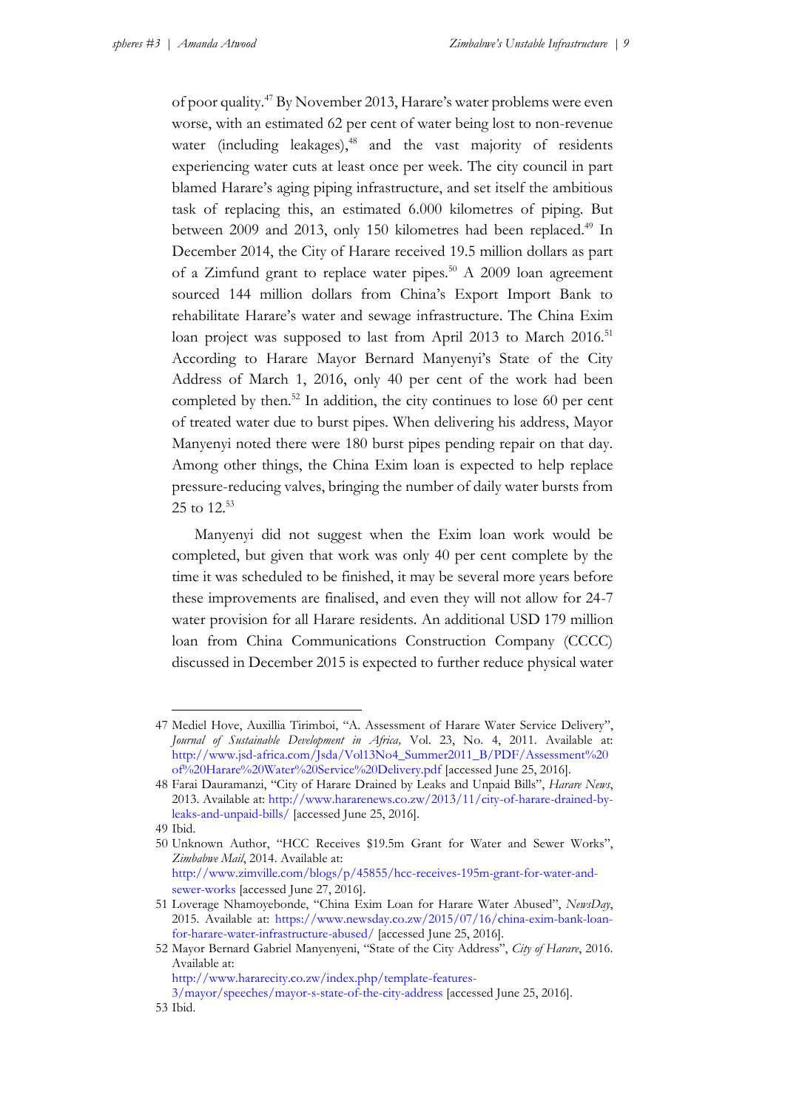of poor quality.<sup>47</sup> By November 2013, Harare's water problems were even worse, with an estimated 62 per cent of water being lost to non-revenue water (including leakages),<sup>48</sup> and the vast majority of residents experiencing water cuts at least once per week. The city council in part blamed Harare's aging piping infrastructure, and set itself the ambitious task of replacing this, an estimated 6.000 kilometres of piping. But between 2009 and 2013, only 150 kilometres had been replaced.<sup>49</sup> In December 2014, the City of Harare received 19.5 million dollars as part of a Zimfund grant to replace water pipes.<sup>50</sup> A 2009 loan agreement sourced 144 million dollars from China's Export Import Bank to rehabilitate Harare's water and sewage infrastructure. The China Exim loan project was supposed to last from April 2013 to March 2016.<sup>51</sup> According to Harare Mayor Bernard Manyenyi's State of the City Address of March 1, 2016, only 40 per cent of the work had been completed by then.<sup>52</sup> In addition, the city continues to lose 60 per cent of treated water due to burst pipes. When delivering his address, Mayor Manyenyi noted there were 180 burst pipes pending repair on that day. Among other things, the China Exim loan is expected to help replace pressure-reducing valves, bringing the number of daily water bursts from 25 to 12.<sup>53</sup>

Manyenyi did not suggest when the Exim loan work would be completed, but given that work was only 40 per cent complete by the time it was scheduled to be finished, it may be several more years before these improvements are finalised, and even they will not allow for 24-7 water provision for all Harare residents. An additional USD 179 million loan from China Communications Construction Company (CCCC) discussed in December 2015 is expected to further reduce physical water

<u>.</u>

<sup>47</sup> Mediel Hove, Auxillia Tirimboi, "A. Assessment of Harare Water Service Delivery", *Journal of Sustainable Development in Africa,* Vol. 23, No. 4, 2011. Available at: [http://www.jsd-africa.com/Jsda/Vol13No4\\_Summer2011\\_B/PDF/Assessment%20](http://www.jsdafrica.com/Jsda/Vol13No4_Summer2011_B/PDF/Assessment%20of%20Harare%20Water%20Service%20Delivery.pdf) [of%20Harare%20Water%20Service%20Delivery.pdf](http://www.jsdafrica.com/Jsda/Vol13No4_Summer2011_B/PDF/Assessment%20of%20Harare%20Water%20Service%20Delivery.pdf) [accessed June 25, 2016].

<sup>48</sup> Farai Dauramanzi, "City of Harare Drained by Leaks and Unpaid Bills", *Harare News*, 2013. Available at[: http://www.hararenews.co.zw/2013/11/city-of-harare-drained-by](http://www.hararenews.co.zw/2013/11/city-of-harare-drained-by-leaks-and-unpaid-bills/)[leaks-and-unpaid-bills/](http://www.hararenews.co.zw/2013/11/city-of-harare-drained-by-leaks-and-unpaid-bills/) [accessed June 25, 2016].

<sup>49</sup> Ibid.

<sup>50</sup> Unknown Author, "HCC Receives \$19.5m Grant for Water and Sewer Works", *Zimbabwe Mail*, 2014. Available at: [http://www.zimville.com/blogs/p/45855/hcc-receives-195m-grant-for-water-and-](http://www.zimville.com/blogs/p/45855/hcc-receives-195m-grant-for-water-and-sewer-works)

[sewer-works](http://www.zimville.com/blogs/p/45855/hcc-receives-195m-grant-for-water-and-sewer-works) [accessed June 27, 2016].

<sup>51</sup> Loverage Nhamoyebonde, "China Exim Loan for Harare Water Abused", *NewsDay*, 2015. Available at: [https://www.newsday.co.zw/2015/07/16/china-exim-bank-loan](https://www.newsday.co.zw/2015/07/16/china-exim-bank-loan-for-harare-water-infrastructure-abused/)[for-harare-water-infrastructure-abused/](https://www.newsday.co.zw/2015/07/16/china-exim-bank-loan-for-harare-water-infrastructure-abused/) [accessed June 25, 2016].

<sup>52</sup> Mayor Bernard Gabriel Manyenyeni, "State of the City Address", *City of Harare*, 2016. Available at:

[http://www.hararecity.co.zw/index.php/template-features-](http://www.hararecity.co.zw/index.php/template-features-3/mayor/speeches/mayor-s-state-of-the-city-address)

[<sup>3/</sup>mayor/speeches/mayor-s-state-of-the-city-address](http://www.hararecity.co.zw/index.php/template-features-3/mayor/speeches/mayor-s-state-of-the-city-address) [accessed June 25, 2016].

<sup>53</sup> Ibid.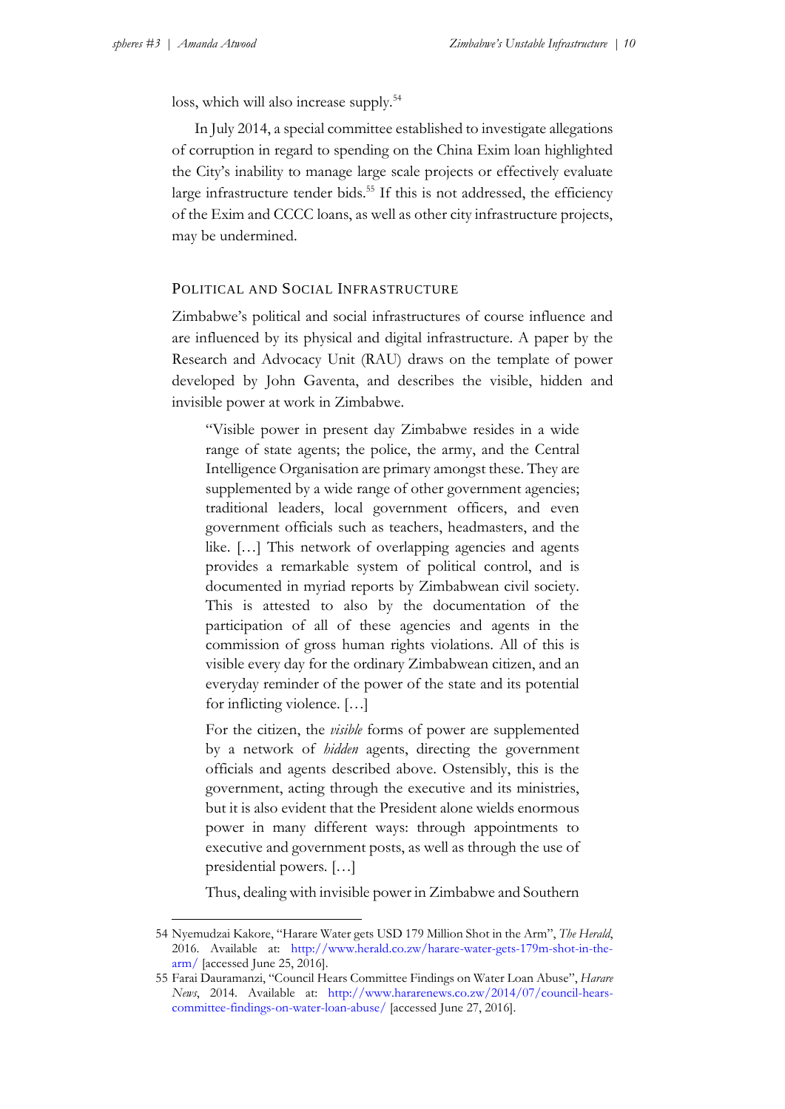loss, which will also increase supply.<sup>54</sup>

In July 2014, a special committee established to investigate allegations of corruption in regard to spending on the China Exim loan highlighted the City's inability to manage large scale projects or effectively evaluate large infrastructure tender bids.<sup>55</sup> If this is not addressed, the efficiency of the Exim and CCCC loans, as well as other city infrastructure projects, may be undermined.

#### POLITICAL AND SOCIAL INFRASTRUCTURE

Zimbabwe's political and social infrastructures of course influence and are influenced by its physical and digital infrastructure. A paper by the Research and Advocacy Unit (RAU) draws on the template of power developed by John Gaventa, and describes the visible, hidden and invisible power at work in Zimbabwe.

"Visible power in present day Zimbabwe resides in a wide range of state agents; the police, the army, and the Central Intelligence Organisation are primary amongst these. They are supplemented by a wide range of other government agencies; traditional leaders, local government officers, and even government officials such as teachers, headmasters, and the like. […] This network of overlapping agencies and agents provides a remarkable system of political control, and is documented in myriad reports by Zimbabwean civil society. This is attested to also by the documentation of the participation of all of these agencies and agents in the commission of gross human rights violations. All of this is visible every day for the ordinary Zimbabwean citizen, and an everyday reminder of the power of the state and its potential for inflicting violence. […]

For the citizen, the *visible* forms of power are supplemented by a network of *hidden* agents, directing the government officials and agents described above. Ostensibly, this is the government, acting through the executive and its ministries, but it is also evident that the President alone wields enormous power in many different ways: through appointments to executive and government posts, as well as through the use of presidential powers. […]

Thus, dealing with invisible power in Zimbabwe and Southern

<sup>54</sup> Nyemudzai Kakore, "Harare Water gets USD 179 Million Shot in the Arm", *The Herald*, 2016. Available at: [http://www.herald.co.zw/harare-water-gets-179m-shot-in-the](http://www.herald.co.zw/harare-water-gets-179m-shot-in-the-arm/)[arm/](http://www.herald.co.zw/harare-water-gets-179m-shot-in-the-arm/) [accessed June 25, 2016].

<sup>55</sup> Farai Dauramanzi, "Council Hears Committee Findings on Water Loan Abuse", *Harare News*, 2014. Available at: [http://www.hararenews.co.zw/2014/07/council-hears](http://www.hararenews.co.zw/2014/07/council-hears-committee-findings-on-water-loan-abuse/)[committee-findings-on-water-loan-abuse/](http://www.hararenews.co.zw/2014/07/council-hears-committee-findings-on-water-loan-abuse/) [accessed June 27, 2016].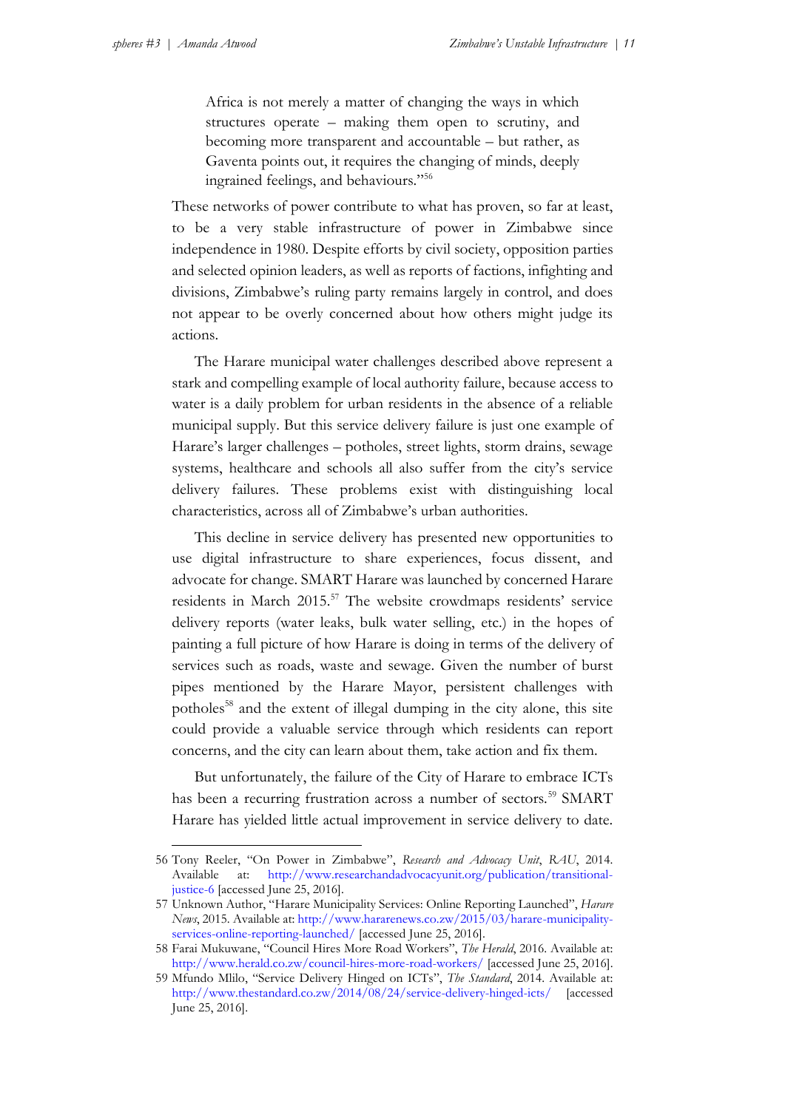1

Africa is not merely a matter of changing the ways in which structures operate – making them open to scrutiny, and becoming more transparent and accountable – but rather, as Gaventa points out, it requires the changing of minds, deeply ingrained feelings, and behaviours."<sup>56</sup>

These networks of power contribute to what has proven, so far at least, to be a very stable infrastructure of power in Zimbabwe since independence in 1980. Despite efforts by civil society, opposition parties and selected opinion leaders, as well as reports of factions, infighting and divisions, Zimbabwe's ruling party remains largely in control, and does not appear to be overly concerned about how others might judge its actions.

The Harare municipal water challenges described above represent a stark and compelling example of local authority failure, because access to water is a daily problem for urban residents in the absence of a reliable municipal supply. But this service delivery failure is just one example of Harare's larger challenges – potholes, street lights, storm drains, sewage systems, healthcare and schools all also suffer from the city's service delivery failures. These problems exist with distinguishing local characteristics, across all of Zimbabwe's urban authorities.

This decline in service delivery has presented new opportunities to use digital infrastructure to share experiences, focus dissent, and advocate for change. SMART Harare was launched by concerned Harare residents in March 2015.<sup>57</sup> The website crowdmaps residents' service delivery reports (water leaks, bulk water selling, etc.) in the hopes of painting a full picture of how Harare is doing in terms of the delivery of services such as roads, waste and sewage. Given the number of burst pipes mentioned by the Harare Mayor, persistent challenges with potholes<sup>58</sup> and the extent of illegal dumping in the city alone, this site could provide a valuable service through which residents can report concerns, and the city can learn about them, take action and fix them.

But unfortunately, the failure of the City of Harare to embrace ICTs has been a recurring frustration across a number of sectors.<sup>59</sup> SMART Harare has yielded little actual improvement in service delivery to date.

<sup>56</sup> Tony Reeler, "On Power in Zimbabwe", *Research and Advocacy Unit*, *RAU*, 2014. Available at: [http://www.researchandadvocacyunit.org/publication/transitional](http://www.researchandadvocacyunit.org/publication/transitional-justice-6)[justice-6](http://www.researchandadvocacyunit.org/publication/transitional-justice-6) [accessed June 25, 2016].

<sup>57</sup> Unknown Author, "Harare Municipality Services: Online Reporting Launched", *Harare News*, 2015. Available at: [http://www.hararenews.co.zw/2015/03/harare-municipality](http://www.hararenews.co.zw/2015/03/harare-municipality-services-online-reporting-launched/)[services-online-reporting-launched/](http://www.hararenews.co.zw/2015/03/harare-municipality-services-online-reporting-launched/) [accessed June 25, 2016].

<sup>58</sup> Farai Mukuwane, "Council Hires More Road Workers", *The Herald*, 2016. Available at: <http://www.herald.co.zw/council-hires-more-road-workers/> [accessed June 25, 2016].

<sup>59</sup> Mfundo Mlilo, "Service Delivery Hinged on ICTs", *The Standard*, 2014. Available at: <http://www.thestandard.co.zw/2014/08/24/service-delivery-hinged-icts/> [accessed June 25, 2016].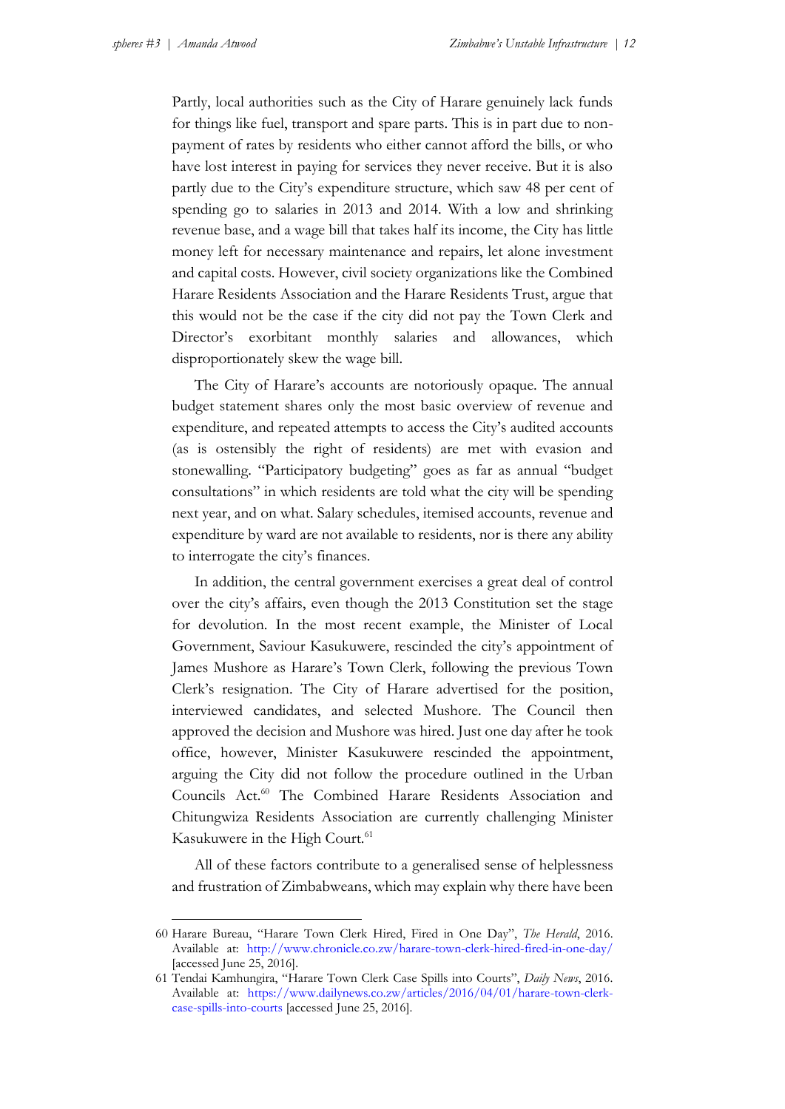Partly, local authorities such as the City of Harare genuinely lack funds for things like fuel, transport and spare parts. This is in part due to nonpayment of rates by residents who either cannot afford the bills, or who have lost interest in paying for services they never receive. But it is also partly due to the City's expenditure structure, which saw 48 per cent of spending go to salaries in 2013 and 2014. With a low and shrinking revenue base, and a wage bill that takes half its income, the City has little money left for necessary maintenance and repairs, let alone investment and capital costs. However, civil society organizations like the Combined Harare Residents Association and the Harare Residents Trust, argue that this would not be the case if the city did not pay the Town Clerk and Director's exorbitant monthly salaries and allowances, which disproportionately skew the wage bill.

The City of Harare's accounts are notoriously opaque. The annual budget statement shares only the most basic overview of revenue and expenditure, and repeated attempts to access the City's audited accounts (as is ostensibly the right of residents) are met with evasion and stonewalling. "Participatory budgeting" goes as far as annual "budget consultations" in which residents are told what the city will be spending next year, and on what. Salary schedules, itemised accounts, revenue and expenditure by ward are not available to residents, nor is there any ability to interrogate the city's finances.

In addition, the central government exercises a great deal of control over the city's affairs, even though the 2013 Constitution set the stage for devolution. In the most recent example, the Minister of Local Government, Saviour Kasukuwere, rescinded the city's appointment of James Mushore as Harare's Town Clerk, following the previous Town Clerk's resignation. The City of Harare advertised for the position, interviewed candidates, and selected Mushore. The Council then approved the decision and Mushore was hired. Just one day after he took office, however, Minister Kasukuwere rescinded the appointment, arguing the City did not follow the procedure outlined in the Urban Councils Act.<sup>60</sup> The Combined Harare Residents Association and Chitungwiza Residents Association are currently challenging Minister Kasukuwere in the High Court.<sup>61</sup>

All of these factors contribute to a generalised sense of helplessness and frustration of Zimbabweans, which may explain why there have been

<sup>60</sup> Harare Bureau, "Harare Town Clerk Hired, Fired in One Day", *The Herald*, 2016. Available at: <http://www.chronicle.co.zw/harare-town-clerk-hired-fired-in-one-day/> [accessed June 25, 2016].

<sup>61</sup> Tendai Kamhungira, "Harare Town Clerk Case Spills into Courts", *Daily News*, 2016. Available at: [https://www.dailynews.co.zw/articles/2016/04/01/harare-town-clerk](https://www.dailynews.co.zw/articles/2016/04/01/harare-town-clerk-case-spills-into-courts)[case-spills-into-courts](https://www.dailynews.co.zw/articles/2016/04/01/harare-town-clerk-case-spills-into-courts) [accessed June 25, 2016].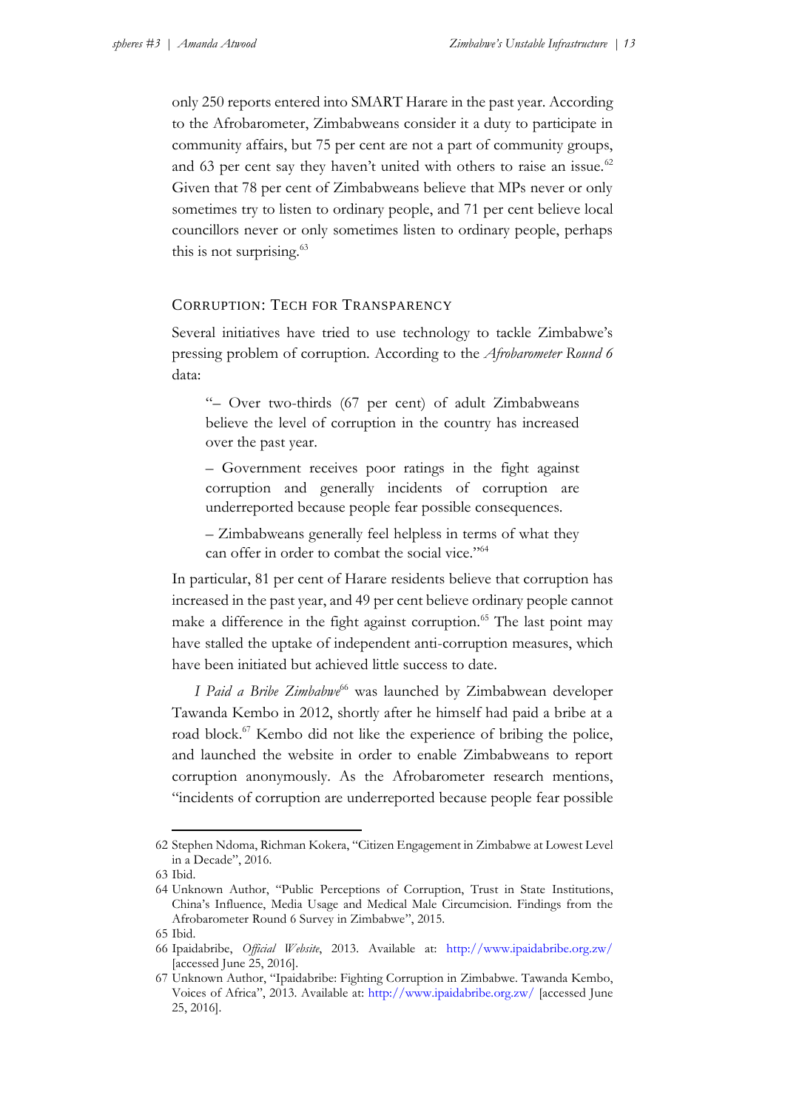only 250 reports entered into SMART Harare in the past year. According to the Afrobarometer, Zimbabweans consider it a duty to participate in community affairs, but 75 per cent are not a part of community groups, and 63 per cent say they haven't united with others to raise an issue.<sup>62</sup> Given that 78 per cent of Zimbabweans believe that MPs never or only sometimes try to listen to ordinary people, and 71 per cent believe local councillors never or only sometimes listen to ordinary people, perhaps this is not surprising.<sup>63</sup>

#### CORRUPTION: TECH FOR TRANSPARENCY

Several initiatives have tried to use technology to tackle Zimbabwe's pressing problem of corruption. According to the *Afrobarometer Round 6* data:

"– Over two-thirds (67 per cent) of adult Zimbabweans believe the level of corruption in the country has increased over the past year.

– Government receives poor ratings in the fight against corruption and generally incidents of corruption are underreported because people fear possible consequences.

– Zimbabweans generally feel helpless in terms of what they can offer in order to combat the social vice."<sup>64</sup>

In particular, 81 per cent of Harare residents believe that corruption has increased in the past year, and 49 per cent believe ordinary people cannot make a difference in the fight against corruption.<sup>65</sup> The last point may have stalled the uptake of independent anti-corruption measures, which have been initiated but achieved little success to date.

*I Paid a Bribe Zimbabwe*<sup>66</sup> was launched by Zimbabwean developer Tawanda Kembo in 2012, shortly after he himself had paid a bribe at a road block.<sup>67</sup> Kembo did not like the experience of bribing the police, and launched the website in order to enable Zimbabweans to report corruption anonymously. As the Afrobarometer research mentions, "incidents of corruption are underreported because people fear possible

<u>.</u>

<sup>62</sup> Stephen Ndoma, Richman Kokera, "Citizen Engagement in Zimbabwe at Lowest Level in a Decade", 2016.

<sup>63</sup> Ibid.

<sup>64</sup> Unknown Author, "Public Perceptions of Corruption, Trust in State Institutions, China's Influence, Media Usage and Medical Male Circumcision. Findings from the Afrobarometer Round 6 Survey in Zimbabwe", 2015.

<sup>65</sup> Ibid.

<sup>66</sup> Ipaidabribe, *Official Website*, 2013. Available at: <http://www.ipaidabribe.org.zw/> [accessed June 25, 2016].

<sup>67</sup> Unknown Author, "Ipaidabribe: Fighting Corruption in Zimbabwe. Tawanda Kembo, Voices of Africa", 2013. Available at:<http://www.ipaidabribe.org.zw/> [accessed June 25, 2016].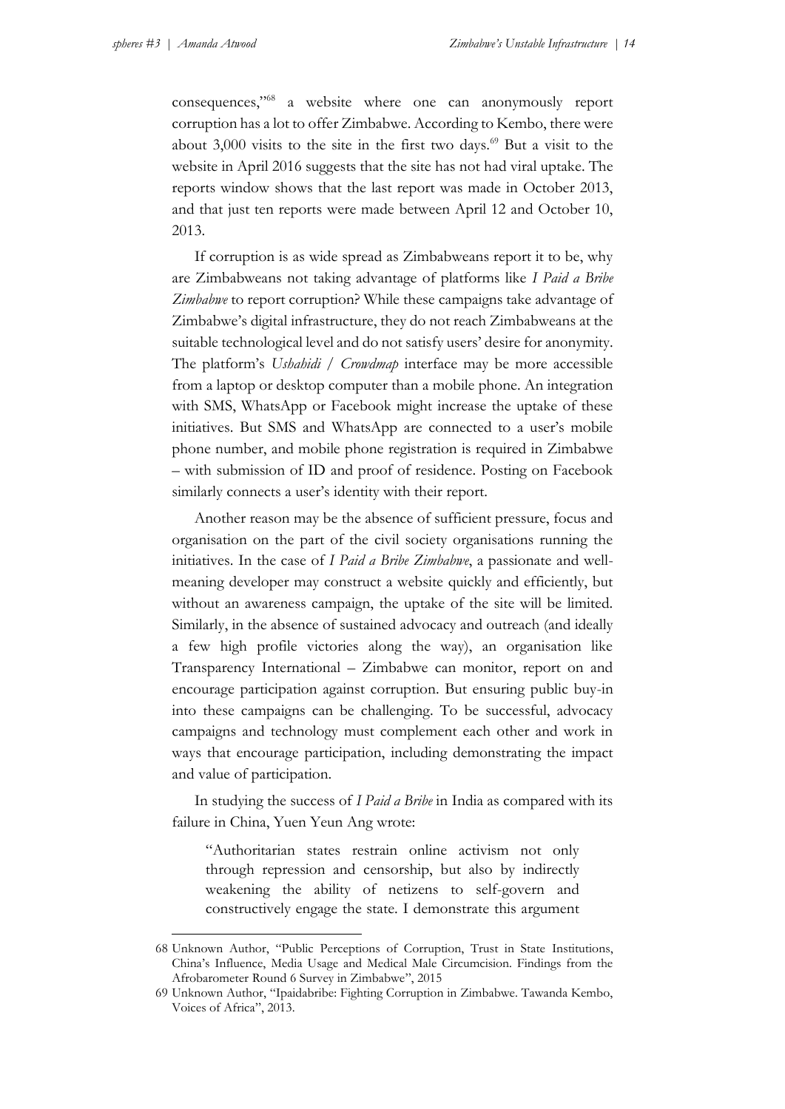1

consequences,"<sup>68</sup> a website where one can anonymously report corruption has a lot to offer Zimbabwe. According to Kembo, there were about 3,000 visits to the site in the first two days.<sup>69</sup> But a visit to the website in April 2016 suggests that the site has not had viral uptake. The reports window shows that the last report was made in October 2013, and that just ten reports were made between April 12 and October 10, 2013.

If corruption is as wide spread as Zimbabweans report it to be, why are Zimbabweans not taking advantage of platforms like *I Paid a Bribe Zimbabwe* to report corruption? While these campaigns take advantage of Zimbabwe's digital infrastructure, they do not reach Zimbabweans at the suitable technological level and do not satisfy users' desire for anonymity. The platform's *Ushahidi / Crowdmap* interface may be more accessible from a laptop or desktop computer than a mobile phone. An integration with SMS, WhatsApp or Facebook might increase the uptake of these initiatives. But SMS and WhatsApp are connected to a user's mobile phone number, and mobile phone registration is required in Zimbabwe – with submission of ID and proof of residence. Posting on Facebook similarly connects a user's identity with their report.

Another reason may be the absence of sufficient pressure, focus and organisation on the part of the civil society organisations running the initiatives. In the case of *I Paid a Bribe Zimbabwe*, a passionate and wellmeaning developer may construct a website quickly and efficiently, but without an awareness campaign, the uptake of the site will be limited. Similarly, in the absence of sustained advocacy and outreach (and ideally a few high profile victories along the way), an organisation like Transparency International – Zimbabwe can monitor, report on and encourage participation against corruption. But ensuring public buy-in into these campaigns can be challenging. To be successful, advocacy campaigns and technology must complement each other and work in ways that encourage participation, including demonstrating the impact and value of participation.

In studying the success of *I Paid a Bribe* in India as compared with its failure in China, Yuen Yeun Ang wrote:

"Authoritarian states restrain online activism not only through repression and censorship, but also by indirectly weakening the ability of netizens to self-govern and constructively engage the state. I demonstrate this argument

<sup>68</sup> Unknown Author, "Public Perceptions of Corruption, Trust in State Institutions, China's Influence, Media Usage and Medical Male Circumcision. Findings from the Afrobarometer Round 6 Survey in Zimbabwe", 2015

<sup>69</sup> Unknown Author, "Ipaidabribe: Fighting Corruption in Zimbabwe. Tawanda Kembo, Voices of Africa", 2013.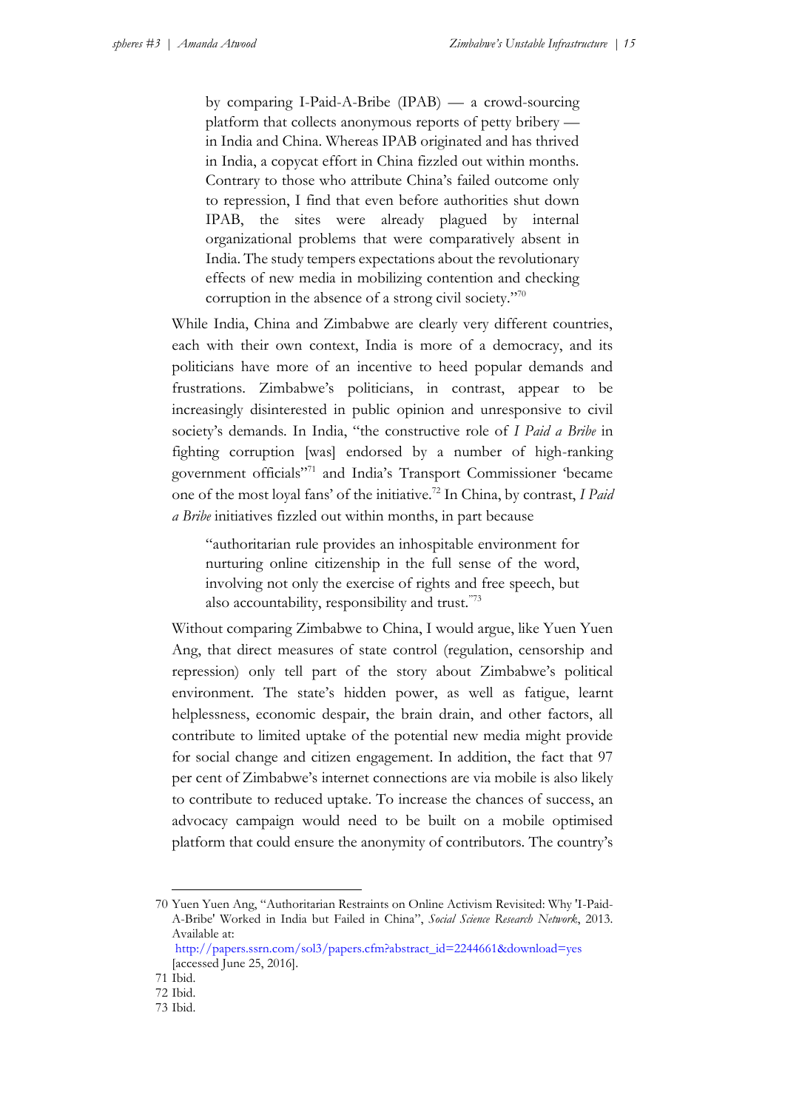by comparing I-Paid-A-Bribe (IPAB) — a crowd-sourcing platform that collects anonymous reports of petty bribery in India and China. Whereas IPAB originated and has thrived in India, a copycat effort in China fizzled out within months. Contrary to those who attribute China's failed outcome only to repression, I find that even before authorities shut down IPAB, the sites were already plagued by internal organizational problems that were comparatively absent in India. The study tempers expectations about the revolutionary effects of new media in mobilizing contention and checking corruption in the absence of a strong civil society." 70

While India, China and Zimbabwe are clearly very different countries, each with their own context, India is more of a democracy, and its politicians have more of an incentive to heed popular demands and frustrations. Zimbabwe's politicians, in contrast, appear to be increasingly disinterested in public opinion and unresponsive to civil society's demands. In India, "the constructive role of *I Paid a Bribe* in fighting corruption [was] endorsed by a number of high-ranking government officials"<sup>71</sup> and India's Transport Commissioner 'became one of the most loyal fans' of the initiative.<sup>72</sup> In China, by contrast, *I Paid a Bribe* initiatives fizzled out within months, in part because

"authoritarian rule provides an inhospitable environment for nurturing online citizenship in the full sense of the word, involving not only the exercise of rights and free speech, but also accountability, responsibility and trust."<sup>73</sup>

Without comparing Zimbabwe to China, I would argue, like Yuen Yuen Ang, that direct measures of state control (regulation, censorship and repression) only tell part of the story about Zimbabwe's political environment. The state's hidden power, as well as fatigue, learnt helplessness, economic despair, the brain drain, and other factors, all contribute to limited uptake of the potential new media might provide for social change and citizen engagement. In addition, the fact that 97 per cent of Zimbabwe's internet connections are via mobile is also likely to contribute to reduced uptake. To increase the chances of success, an advocacy campaign would need to be built on a mobile optimised platform that could ensure the anonymity of contributors. The country's

1

<sup>70</sup> Yuen Yuen Ang, "Authoritarian Restraints on Online Activism Revisited: Why 'I-Paid-A-Bribe' Worked in India but Failed in China", *Social Science Research Network*, 2013. Available at:

[http://papers.ssrn.com/sol3/papers.cfm?abstract\\_id=2244661&download=yes](http://papers.ssrn.com/sol3/papers.cfm?abstract_id=2244661&download=yes) [accessed June 25, 2016].

<sup>71</sup> Ibid.

<sup>72</sup> Ibid.

<sup>73</sup> Ibid.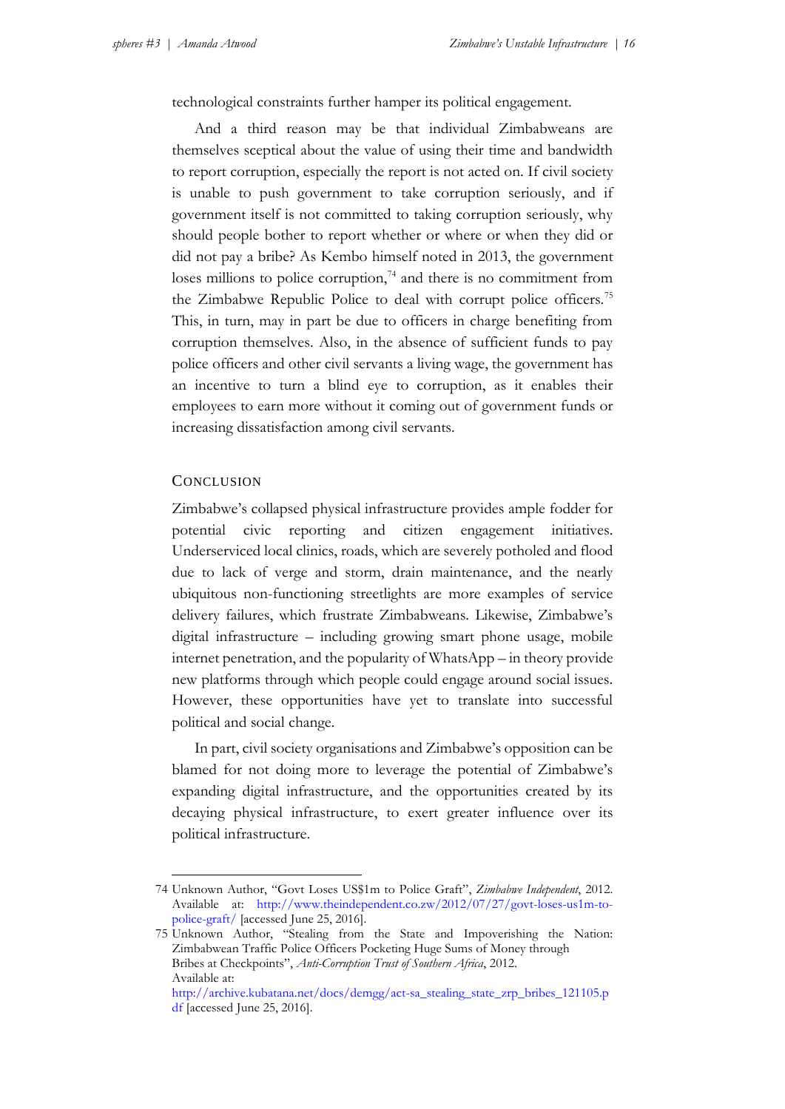technological constraints further hamper its political engagement.

And a third reason may be that individual Zimbabweans are themselves sceptical about the value of using their time and bandwidth to report corruption, especially the report is not acted on. If civil society is unable to push government to take corruption seriously, and if government itself is not committed to taking corruption seriously, why should people bother to report whether or where or when they did or did not pay a bribe? As Kembo himself noted in 2013, the government loses millions to police corruption, $74$  and there is no commitment from the Zimbabwe Republic Police to deal with corrupt police officers.<sup>75</sup> This, in turn, may in part be due to officers in charge benefiting from corruption themselves. Also, in the absence of sufficient funds to pay police officers and other civil servants a living wage, the government has an incentive to turn a blind eye to corruption, as it enables their employees to earn more without it coming out of government funds or increasing dissatisfaction among civil servants.

#### **CONCLUSION**

<u>.</u>

Zimbabwe's collapsed physical infrastructure provides ample fodder for potential civic reporting and citizen engagement initiatives. Underserviced local clinics, roads, which are severely potholed and flood due to lack of verge and storm, drain maintenance, and the nearly ubiquitous non-functioning streetlights are more examples of service delivery failures, which frustrate Zimbabweans. Likewise, Zimbabwe's digital infrastructure – including growing smart phone usage, mobile internet penetration, and the popularity of WhatsApp – in theory provide new platforms through which people could engage around social issues. However, these opportunities have yet to translate into successful political and social change.

In part, civil society organisations and Zimbabwe's opposition can be blamed for not doing more to leverage the potential of Zimbabwe's expanding digital infrastructure, and the opportunities created by its decaying physical infrastructure, to exert greater influence over its political infrastructure.

<sup>74</sup> Unknown Author, "Govt Loses US\$1m to Police Graft", *Zimbabwe Independent*, 2012. Available at: [http://www.theindependent.co.zw/2012/07/27/govt-loses-us1m-to](http://www.theindependent.co.zw/2012/07/27/govt-loses-us1m-to-police-graft/)[police-graft/](http://www.theindependent.co.zw/2012/07/27/govt-loses-us1m-to-police-graft/) [accessed June 25, 2016].

<sup>75</sup> Unknown Author, "Stealing from the State and Impoverishing the Nation: Zimbabwean Traffic Police Officers Pocketing Huge Sums of Money through Bribes at Checkpoints", *Anti-Corruption Trust of Southern Africa*, 2012. Available at: [http://archive.kubatana.net/docs/demgg/act-sa\\_stealing\\_state\\_zrp\\_bribes\\_121105.p](http://archive.kubatana.net/docs/demgg/actsa_stealing_state_zrp_bribes_121105.pdf)

[df](http://archive.kubatana.net/docs/demgg/actsa_stealing_state_zrp_bribes_121105.pdf) [accessed June 25, 2016].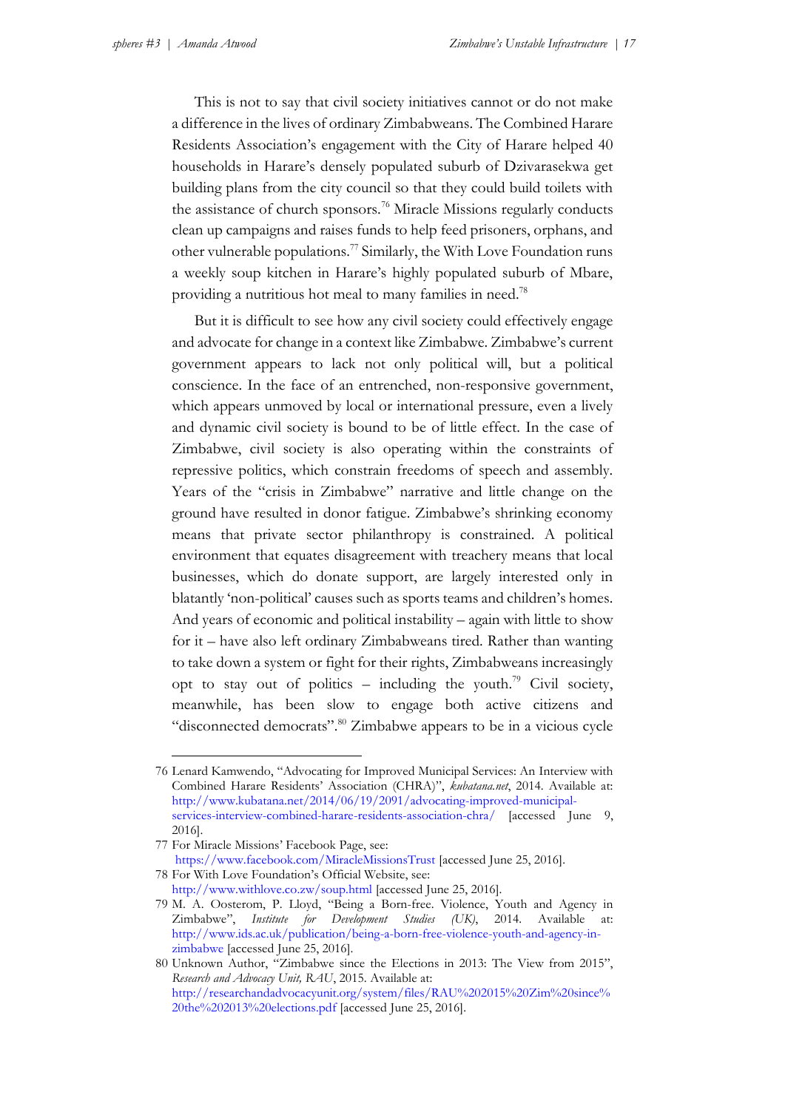This is not to say that civil society initiatives cannot or do not make a difference in the lives of ordinary Zimbabweans. The Combined Harare Residents Association's engagement with the City of Harare helped 40 households in Harare's densely populated suburb of Dzivarasekwa get building plans from the city council so that they could build toilets with the assistance of church sponsors.<sup>76</sup> Miracle Missions regularly conducts clean up campaigns and raises funds to help feed prisoners, orphans, and other vulnerable populations.<sup>77</sup> Similarly, the With Love Foundation runs a weekly soup kitchen in Harare's highly populated suburb of Mbare, providing a nutritious hot meal to many families in need.<sup>78</sup>

But it is difficult to see how any civil society could effectively engage and advocate for change in a context like Zimbabwe. Zimbabwe's current government appears to lack not only political will, but a political conscience. In the face of an entrenched, non-responsive government, which appears unmoved by local or international pressure, even a lively and dynamic civil society is bound to be of little effect. In the case of Zimbabwe, civil society is also operating within the constraints of repressive politics, which constrain freedoms of speech and assembly. Years of the "crisis in Zimbabwe" narrative and little change on the ground have resulted in donor fatigue. Zimbabwe's shrinking economy means that private sector philanthropy is constrained. A political environment that equates disagreement with treachery means that local businesses, which do donate support, are largely interested only in blatantly 'non-political' causes such as sports teams and children's homes. And years of economic and political instability – again with little to show for it – have also left ordinary Zimbabweans tired. Rather than wanting to take down a system or fight for their rights, Zimbabweans increasingly opt to stay out of politics – including the youth.<sup>79</sup> Civil society, meanwhile, has been slow to engage both active citizens and "disconnected democrats".<sup>80</sup> Zimbabwe appears to be in a vicious cycle

78 For With Love Foundation's Official Website, see:

<sup>76</sup> Lenard Kamwendo, "Advocating for Improved Municipal Services: An Interview with Combined Harare Residents' Association (CHRA)", *kubatana.net*, 2014. Available at: [http://www.kubatana.net/2014/06/19/2091/advocating-improved-municipal](http://www.kubatana.net/2014/06/19/2091/advocating-improved-municipal-services-interview-combined-harare-residents-association-chra/)[services-interview-combined-harare-residents-association-chra/](http://www.kubatana.net/2014/06/19/2091/advocating-improved-municipal-services-interview-combined-harare-residents-association-chra/) [accessed June 9, 2016].

<sup>77</sup> For Miracle Missions' Facebook Page, see: <https://www.facebook.com/MiracleMissionsTrust> [accessed June 25, 2016].

<http://www.withlove.co.zw/soup.html> [accessed June 25, 2016].

<sup>79</sup> M. A. Oosterom, P. Lloyd, "Being a Born-free. Violence, Youth and Agency in Zimbabwe", *Institute for Development Studies (UK)*, 2014. Available at: [http://www.ids.ac.uk/publication/being-a-born-free-violence-youth-and-agency-in](http://www.ids.ac.uk/publication/being-a-born-free-violence-youth-and-agency-in-zimbabwe)[zimbabwe](http://www.ids.ac.uk/publication/being-a-born-free-violence-youth-and-agency-in-zimbabwe) [accessed June 25, 2016].

<sup>80</sup> Unknown Author, "Zimbabwe since the Elections in 2013: The View from 2015", *Research and Advocacy Unit, RAU*, 2015. Available at: [http://researchandadvocacyunit.org/system/files/RAU%202015%20Zim%20since%](http://researchandadvocacyunit.org/system/files/RAU%202015%20Zim%20since%20the%202013%20elections.pdf) [20the%202013%20elections.pdf](http://researchandadvocacyunit.org/system/files/RAU%202015%20Zim%20since%20the%202013%20elections.pdf) [accessed June 25, 2016].